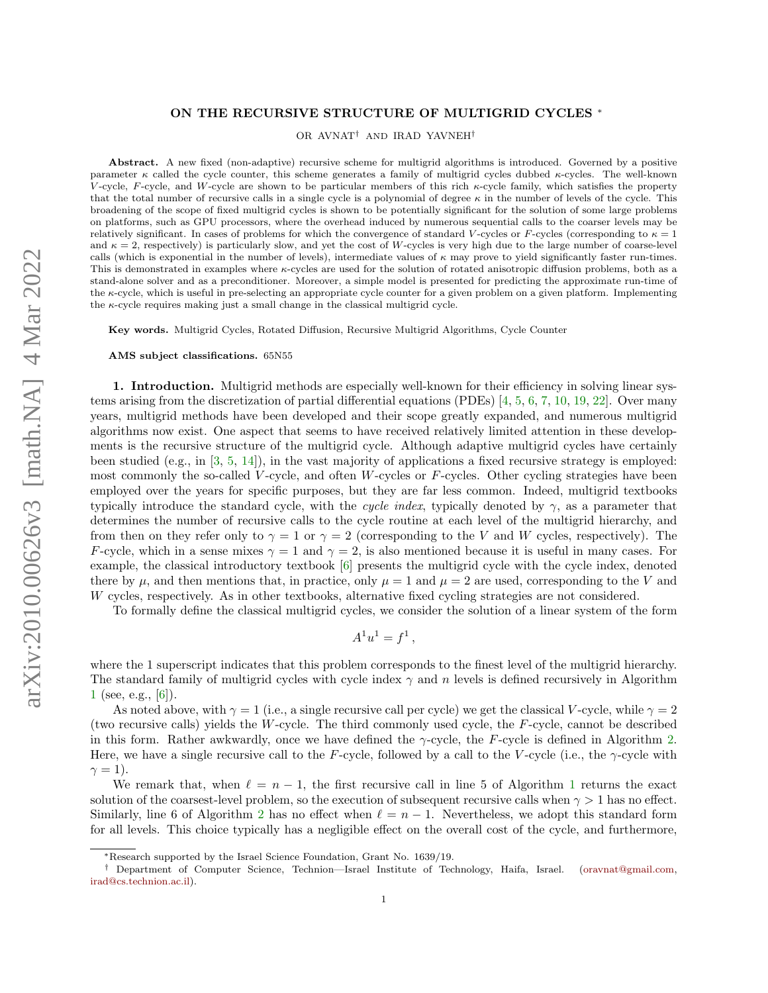## ON THE RECURSIVE STRUCTURE OF MULTIGRID CYCLES <sup>∗</sup>

OR AVNAT† AND IRAD YAVNEH†

Abstract. A new fixed (non-adaptive) recursive scheme for multigrid algorithms is introduced. Governed by a positive parameter  $\kappa$  called the cycle counter, this scheme generates a family of multigrid cycles dubbed  $\kappa$ -cycles. The well-known V-cycle, F-cycle, and W-cycle are shown to be particular members of this rich  $\kappa$ -cycle family, which satisfies the property that the total number of recursive calls in a single cycle is a polynomial of degree  $\kappa$  in the number of levels of the cycle. This broadening of the scope of fixed multigrid cycles is shown to be potentially significant for the solution of some large problems on platforms, such as GPU processors, where the overhead induced by numerous sequential calls to the coarser levels may be relatively significant. In cases of problems for which the convergence of standard V-cycles or F-cycles (corresponding to  $\kappa = 1$ ) and  $\kappa = 2$ , respectively) is particularly slow, and yet the cost of W-cycles is very high due to the large number of coarse-level calls (which is exponential in the number of levels), intermediate values of  $\kappa$  may prove to yield significantly faster run-times. This is demonstrated in examples where  $\kappa$ -cycles are used for the solution of rotated anisotropic diffusion problems, both as a stand-alone solver and as a preconditioner. Moreover, a simple model is presented for predicting the approximate run-time of the  $\kappa$ -cycle, which is useful in pre-selecting an appropriate cycle counter for a given problem on a given platform. Implementing the  $\kappa$ -cycle requires making just a small change in the classical multigrid cycle.

Key words. Multigrid Cycles, Rotated Diffusion, Recursive Multigrid Algorithms, Cycle Counter

AMS subject classifications. 65N55

1. Introduction. Multigrid methods are especially well-known for their efficiency in solving linear systems arising from the discretization of partial differential equations (PDEs) [\[4,](#page-19-0) [5,](#page-19-1) [6,](#page-19-2) [7,](#page-19-3) [10,](#page-19-4) [19,](#page-19-5) [22\]](#page-19-6). Over many years, multigrid methods have been developed and their scope greatly expanded, and numerous multigrid algorithms now exist. One aspect that seems to have received relatively limited attention in these developments is the recursive structure of the multigrid cycle. Although adaptive multigrid cycles have certainly been studied (e.g., in [\[3,](#page-18-0) [5,](#page-19-1) [14\]](#page-19-7)), in the vast majority of applications a fixed recursive strategy is employed: most commonly the so-called V-cycle, and often W-cycles or  $F$ -cycles. Other cycling strategies have been employed over the years for specific purposes, but they are far less common. Indeed, multigrid textbooks typically introduce the standard cycle, with the cycle index, typically denoted by  $\gamma$ , as a parameter that determines the number of recursive calls to the cycle routine at each level of the multigrid hierarchy, and from then on they refer only to  $\gamma = 1$  or  $\gamma = 2$  (corresponding to the V and W cycles, respectively). The F-cycle, which in a sense mixes  $\gamma = 1$  and  $\gamma = 2$ , is also mentioned because it is useful in many cases. For example, the classical introductory textbook [\[6\]](#page-19-2) presents the multigrid cycle with the cycle index, denoted there by  $\mu$ , and then mentions that, in practice, only  $\mu = 1$  and  $\mu = 2$  are used, corresponding to the V and W cycles, respectively. As in other textbooks, alternative fixed cycling strategies are not considered.

To formally define the classical multigrid cycles, we consider the solution of a linear system of the form

$$
A^1 u^1 = f^1,
$$

where the 1 superscript indicates that this problem corresponds to the finest level of the multigrid hierarchy. The standard family of multigrid cycles with cycle index  $\gamma$  and n levels is defined recursively in Algorithm  $1$  (see, e.g., [\[6\]](#page-19-2)).

<span id="page-0-0"></span>As noted above, with  $\gamma = 1$  (i.e., a single recursive call per cycle) we get the classical V-cycle, while  $\gamma = 2$ (two recursive calls) yields the W-cycle. The third commonly used cycle, the F-cycle, cannot be described in this form. Rather awkwardly, once we have defined the  $\gamma$ -cycle, the F-cycle is defined in Algorithm [2.](#page-1-0) Here, we have a single recursive call to the F-cycle, followed by a call to the V-cycle (i.e., the  $\gamma$ -cycle with  $\gamma = 1$ ).

We remark that, when  $\ell = n - 1$  $\ell = n - 1$ , the first recursive call in line 5 of Algorithm 1 returns the exact solution of the coarsest-level problem, so the execution of subsequent recursive calls when  $\gamma > 1$  has no effect. Similarly, line 6 of Algorithm [2](#page-1-0) has no effect when  $\ell = n - 1$ . Nevertheless, we adopt this standard form for all levels. This choice typically has a negligible effect on the overall cost of the cycle, and furthermore,

<sup>∗</sup>Research supported by the Israel Science Foundation, Grant No. 1639/19.

<sup>†</sup> Department of Computer Science, Technion—Israel Institute of Technology, Haifa, Israel. [\(oravnat@gmail.com,](mailto:oravnat@gmail.com) [irad@cs.technion.ac.il\)](mailto:irad@cs.technion.ac.il).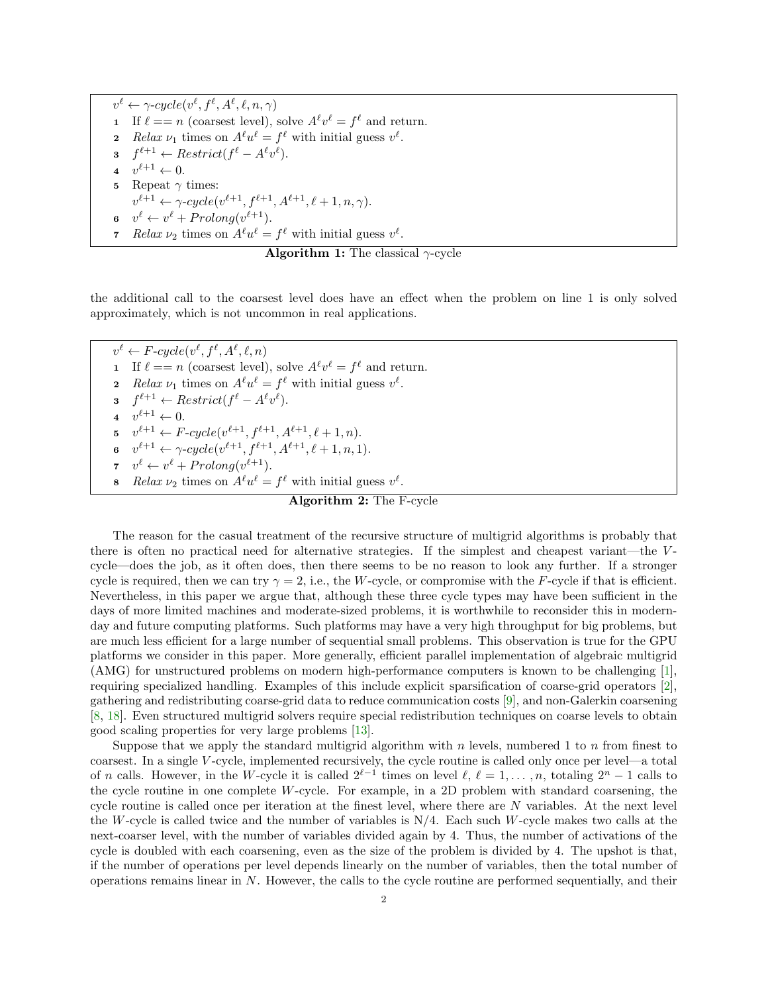$v^{\ell} \leftarrow \gamma\text{-cycle}(v^{\ell}, f^{\ell}, A^{\ell}, \ell, n, \gamma)$ 1 If  $\ell = n$  (coarsest level), solve  $A^{\ell}v^{\ell} = f^{\ell}$  and return. 2 Relax  $\nu_1$  times on  $A^{\ell}u^{\ell} = f^{\ell}$  with initial guess  $v^{\ell}$ .  $s \quad f^{\ell+1} \leftarrow Restrict(f^{\ell}-A^{\ell}v^{\ell}).$  $\quad \ \ \, \cdots \quad v^{\ell+1} \leftarrow 0.$ 5 Repeat  $\gamma$  times:  $v^{\ell+1} \leftarrow \gamma\text{-cycle}(v^{\ell+1}, f^{\ell+1}, A^{\ell+1}, \ell+1, n, \gamma).$ 6  $v^{\ell} \leftarrow v^{\ell} + Prolong(v^{\ell+1}).$ 7 Relax  $\nu_2$  times on  $A^{\ell}u^{\ell} = f^{\ell}$  with initial guess  $v^{\ell}$ .



<span id="page-1-0"></span>the additional call to the coarsest level does have an effect when the problem on line 1 is only solved approximately, which is not uncommon in real applications.

 $v^{\ell} \leftarrow F\text{-}cycle(v^{\ell}, f^{\ell}, A^{\ell}, \ell, n)$ 1 If  $\ell = n$  (coarsest level), solve  $A^{\ell}v^{\ell} = f^{\ell}$  and return. 2 Relax  $\nu_1$  times on  $A^{\ell}u^{\ell} = f^{\ell}$  with initial guess  $v^{\ell}$ . 3  $f^{\ell+1} \leftarrow$  Restrict $(f^{\ell} - A^{\ell} v^{\ell}).$  $\mathbf{4} \quad v^{\ell+1} \leftarrow 0.$ 5  $v^{\ell+1} \leftarrow F\text{-}cycle(v^{\ell+1}, f^{\ell+1}, A^{\ell+1}, \ell+1, n).$ 6  $v^{\ell+1} \leftarrow \gamma$ -cycle( $v^{\ell+1}, f^{\ell+1}, A^{\ell+1}, \ell+1, n, 1$ ). 7  $v^{\ell} \leftarrow v^{\ell} + Prolong(v^{\ell+1}).$ **8** Relax  $\nu_2$  times on  $A^{\ell}u^{\ell} = f^{\ell}$  with initial guess  $v^{\ell}$ .



The reason for the casual treatment of the recursive structure of multigrid algorithms is probably that there is often no practical need for alternative strategies. If the simplest and cheapest variant—the Vcycle—does the job, as it often does, then there seems to be no reason to look any further. If a stronger cycle is required, then we can try  $\gamma = 2$ , i.e., the W-cycle, or compromise with the F-cycle if that is efficient. Nevertheless, in this paper we argue that, although these three cycle types may have been sufficient in the days of more limited machines and moderate-sized problems, it is worthwhile to reconsider this in modernday and future computing platforms. Such platforms may have a very high throughput for big problems, but are much less efficient for a large number of sequential small problems. This observation is true for the GPU platforms we consider in this paper. More generally, efficient parallel implementation of algebraic multigrid (AMG) for unstructured problems on modern high-performance computers is known to be challenging [\[1\]](#page-18-1), requiring specialized handling. Examples of this include explicit sparsification of coarse-grid operators [\[2\]](#page-18-2), gathering and redistributing coarse-grid data to reduce communication costs [\[9\]](#page-19-8), and non-Galerkin coarsening [\[8,](#page-19-9) [18\]](#page-19-10). Even structured multigrid solvers require special redistribution techniques on coarse levels to obtain good scaling properties for very large problems [\[13\]](#page-19-11).

Suppose that we apply the standard multigrid algorithm with  $n$  levels, numbered 1 to  $n$  from finest to coarsest. In a single V-cycle, implemented recursively, the cycle routine is called only once per level—a total of n calls. However, in the W-cycle it is called  $2^{\ell-1}$  times on level  $\ell, \ell = 1, \ldots, n$ , totaling  $2^n - 1$  calls to the cycle routine in one complete W-cycle. For example, in a 2D problem with standard coarsening, the cycle routine is called once per iteration at the finest level, where there are N variables. At the next level the W-cycle is called twice and the number of variables is  $N/4$ . Each such W-cycle makes two calls at the next-coarser level, with the number of variables divided again by 4. Thus, the number of activations of the cycle is doubled with each coarsening, even as the size of the problem is divided by 4. The upshot is that, if the number of operations per level depends linearly on the number of variables, then the total number of operations remains linear in  $N$ . However, the calls to the cycle routine are performed sequentially, and their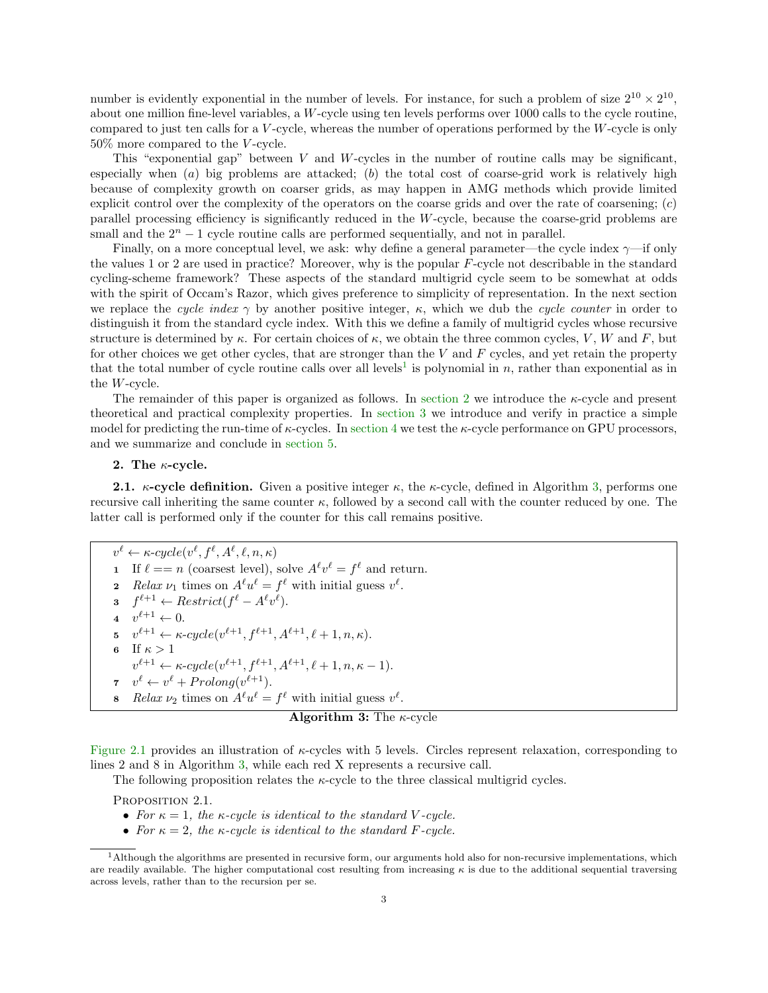number is evidently exponential in the number of levels. For instance, for such a problem of size  $2^{10} \times 2^{10}$ , about one million fine-level variables, a W-cycle using ten levels performs over 1000 calls to the cycle routine, compared to just ten calls for a V -cycle, whereas the number of operations performed by the W-cycle is only 50% more compared to the V -cycle.

This "exponential gap" between  $V$  and  $W$ -cycles in the number of routine calls may be significant, especially when  $(a)$  big problems are attacked;  $(b)$  the total cost of coarse-grid work is relatively high because of complexity growth on coarser grids, as may happen in AMG methods which provide limited explicit control over the complexity of the operators on the coarse grids and over the rate of coarsening;  $(c)$ parallel processing efficiency is significantly reduced in the W-cycle, because the coarse-grid problems are small and the  $2<sup>n</sup> - 1$  cycle routine calls are performed sequentially, and not in parallel.

Finally, on a more conceptual level, we ask: why define a general parameter—the cycle index  $\gamma$ —if only the values 1 or 2 are used in practice? Moreover, why is the popular F-cycle not describable in the standard cycling-scheme framework? These aspects of the standard multigrid cycle seem to be somewhat at odds with the spirit of Occam's Razor, which gives preference to simplicity of representation. In the next section we replace the cycle index  $\gamma$  by another positive integer,  $\kappa$ , which we dub the cycle counter in order to distinguish it from the standard cycle index. With this we define a family of multigrid cycles whose recursive structure is determined by  $\kappa$ . For certain choices of  $\kappa$ , we obtain the three common cycles, V, W and F, but for other choices we get other cycles, that are stronger than the V and F cycles, and yet retain the property that the total number of cycle routine calls over all levels<sup>[1](#page-2-0)</sup> is polynomial in n, rather than exponential as in the W-cycle.

The remainder of this paper is organized as follows. In [section 2](#page-2-1) we introduce the  $\kappa$ -cycle and present theoretical and practical complexity properties. In [section 3](#page-9-0) we introduce and verify in practice a simple model for predicting the run-time of  $\kappa$ -cycles. In [section 4](#page-13-0) we test the  $\kappa$ -cycle performance on GPU processors, and we summarize and conclude in [section 5.](#page-18-3)

## <span id="page-2-1"></span>2. The  $\kappa$ -cycle.

**2.1.**  $\kappa$ -cycle definition. Given a positive integer  $\kappa$ , the  $\kappa$ -cycle, defined in Algorithm [3,](#page-2-2) performs one recursive call inheriting the same counter  $\kappa$ , followed by a second call with the counter reduced by one. The latter call is performed only if the counter for this call remains positive.

 $v^{\ell} \leftarrow \kappa\text{-cycle}(v^{\ell}, f^{\ell}, A^{\ell}, \ell, n, \kappa)$ 1 If  $\ell = n$  (coarsest level), solve  $A^{\ell}v^{\ell} = f^{\ell}$  and return. 2 Relax  $\nu_1$  times on  $A^{\ell}u^{\ell} = f^{\ell}$  with initial guess  $v^{\ell}$ .  $s \quad f^{\ell+1} \leftarrow Restrict(f^{\ell}-A^{\ell}v^{\ell}).$  $4 \quad v^{\ell+1} \leftarrow 0.$ 5  $v^{\ell+1} \leftarrow \kappa$ -cycle( $v^{\ell+1}, f^{\ell+1}, A^{\ell+1}, \ell+1, n, \kappa$ ). 6 If  $\kappa > 1$  $v^{\ell+1} \leftarrow \kappa$ -cycle $(v^{\ell+1}, f^{\ell+1}, A^{\ell+1}, \ell+1, n, \kappa-1).$ 7  $v^{\ell} \leftarrow v^{\ell} + Prolong(v^{\ell+1}).$ **8** Relax  $\nu_2$  times on  $A^{\ell}u^{\ell} = f^{\ell}$  with initial guess  $v^{\ell}$ .

# <span id="page-2-2"></span>Algorithm 3: The  $\kappa$ -cycle

[Figure 2.1](#page-3-0) provides an illustration of  $\kappa$ -cycles with 5 levels. Circles represent relaxation, corresponding to lines 2 and 8 in Algorithm [3,](#page-2-2) while each red X represents a recursive call.

The following proposition relates the  $\kappa$ -cycle to the three classical multigrid cycles.

<span id="page-2-3"></span>PROPOSITION 2.1.

- For  $\kappa = 1$ , the  $\kappa$ -cycle is identical to the standard V-cycle.
- For  $\kappa = 2$ , the  $\kappa$ -cycle is identical to the standard F-cycle.

<span id="page-2-0"></span> $1$ Although the algorithms are presented in recursive form, our arguments hold also for non-recursive implementations, which are readily available. The higher computational cost resulting from increasing  $\kappa$  is due to the additional sequential traversing across levels, rather than to the recursion per se.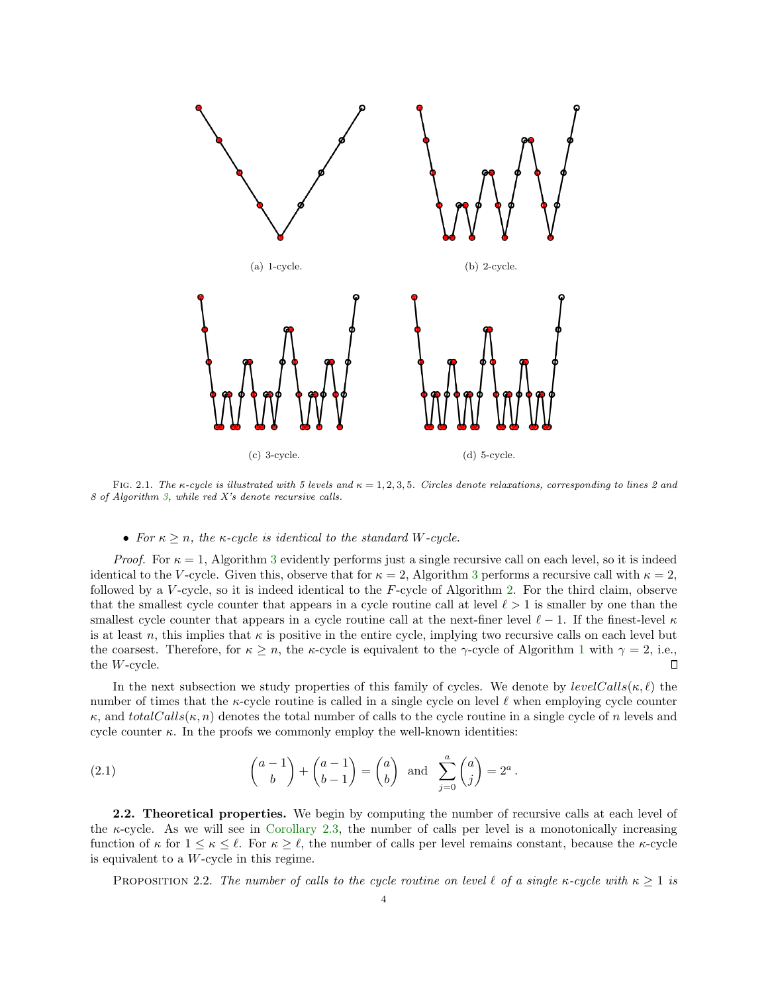<span id="page-3-0"></span>

FIG. 2.1. The  $\kappa$ -cycle is illustrated with 5 levels and  $\kappa = 1, 2, 3, 5$ . Circles denote relaxations, corresponding to lines 2 and 8 of Algorithm [3,](#page-2-2) while red X's denote recursive calls.

## • For  $\kappa \geq n$ , the  $\kappa$ -cycle is identical to the standard W-cycle.

*Proof.* For  $\kappa = 1$ , Algorithm [3](#page-2-2) evidently performs just a single recursive call on each level, so it is indeed identical to the V-cycle. Given this, observe that for  $\kappa = 2$ , Algorithm [3](#page-2-2) performs a recursive call with  $\kappa = 2$ , followed by a V -cycle, so it is indeed identical to the F-cycle of Algorithm [2.](#page-1-0) For the third claim, observe that the smallest cycle counter that appears in a cycle routine call at level  $\ell > 1$  is smaller by one than the smallest cycle counter that appears in a cycle routine call at the next-finer level  $\ell - 1$ . If the finest-level  $\kappa$ is at least n, this implies that  $\kappa$  is positive in the entire cycle, implying two recursive calls on each level but the coarsest. Therefore, for  $\kappa \geq n$ , the  $\kappa$ -cycle is equivalent to the  $\gamma$ -cycle of Algorithm [1](#page-0-0) with  $\gamma = 2$ , i.e., the W-cycle.  $\Box$ 

In the next subsection we study properties of this family of cycles. We denote by  $levelCalls(\kappa, \ell)$  the number of times that the  $\kappa$ -cycle routine is called in a single cycle on level  $\ell$  when employing cycle counter  $\kappa$ , and totalCalls( $\kappa$ , n) denotes the total number of calls to the cycle routine in a single cycle of n levels and cycle counter  $\kappa$ . In the proofs we commonly employ the well-known identities:

(2.1) 
$$
\begin{pmatrix} a-1 \\ b \end{pmatrix} + \begin{pmatrix} a-1 \\ b-1 \end{pmatrix} = \begin{pmatrix} a \\ b \end{pmatrix} \text{ and } \sum_{j=0}^{a} \begin{pmatrix} a \\ j \end{pmatrix} = 2^a.
$$

2.2. Theoretical properties. We begin by computing the number of recursive calls at each level of the  $\kappa$ -cycle. As we will see in [Corollary 2.3,](#page-5-0) the number of calls per level is a monotonically increasing function of  $\kappa$  for  $1 \leq \kappa \leq \ell$ . For  $\kappa \geq \ell$ , the number of calls per level remains constant, because the  $\kappa$ -cycle is equivalent to a W-cycle in this regime.

<span id="page-3-1"></span>PROPOSITION 2.2. The number of calls to the cycle routine on level  $\ell$  of a single  $\kappa$ -cycle with  $\kappa \ge 1$  is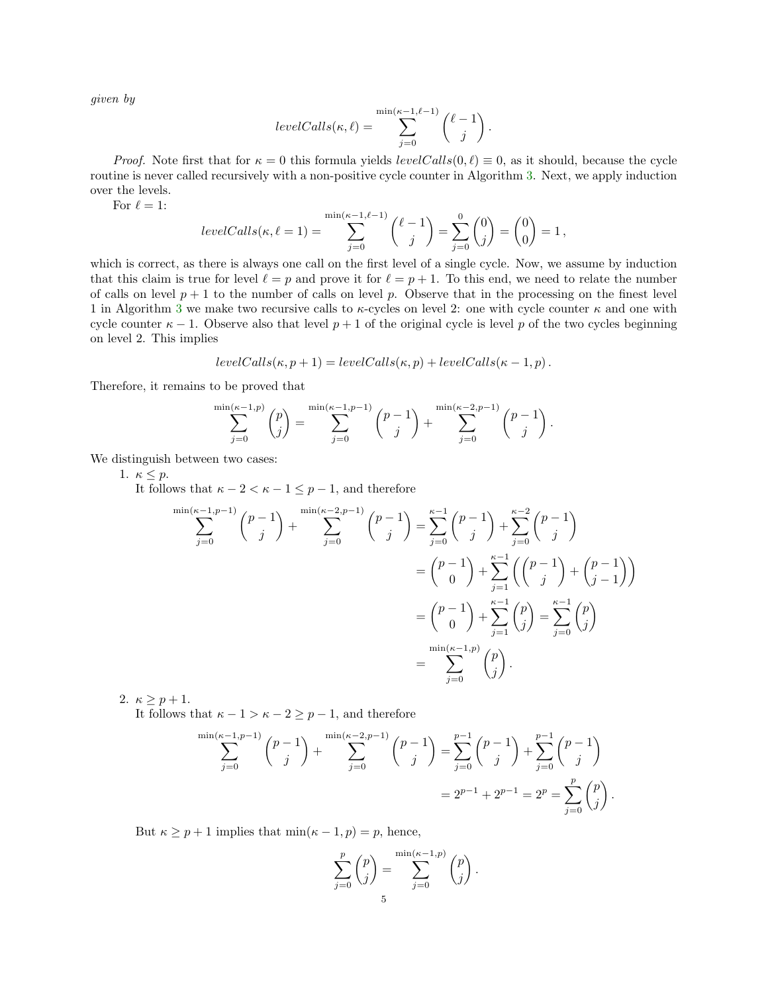given by

$$
levelCalls(\kappa, \ell) = \sum_{j=0}^{\min(\kappa-1, \ell-1)} \binom{\ell-1}{j}.
$$

*Proof.* Note first that for  $\kappa = 0$  this formula yields levelCalls $(0, \ell) \equiv 0$ , as it should, because the cycle routine is never called recursively with a non-positive cycle counter in Algorithm [3.](#page-2-2) Next, we apply induction over the levels.

For  $\ell = 1$ :

$$
levelCalls(\kappa, \ell = 1) = \sum_{j=0}^{\min(\kappa - 1, \ell - 1)} {\ell - 1 \choose j} = \sum_{j=0}^{0} {0 \choose j} = {0 \choose 0} = 1,
$$

which is correct, as there is always one call on the first level of a single cycle. Now, we assume by induction that this claim is true for level  $\ell = p$  and prove it for  $\ell = p + 1$ . To this end, we need to relate the number of calls on level  $p + 1$  to the number of calls on level p. Observe that in the processing on the finest level 1 in Algorithm [3](#page-2-2) we make two recursive calls to  $\kappa$ -cycles on level 2: one with cycle counter  $\kappa$  and one with cycle counter  $\kappa - 1$ . Observe also that level  $p + 1$  of the original cycle is level p of the two cycles beginning on level 2. This implies

$$
levelCalls(\kappa, p+1) = levelCalls(\kappa, p) + levelCalls(\kappa - 1, p).
$$

Therefore, it remains to be proved that

min(

$$
\sum_{j=0}^{\min(\kappa-1,p)} \binom{p}{j} = \sum_{j=0}^{\min(\kappa-1,p-1)} \binom{p-1}{j} + \sum_{j=0}^{\min(\kappa-2,p-1)} \binom{p-1}{j}.
$$

We distinguish between two cases:

1.  $\kappa \leq p$ .

It follows that  $\kappa - 2 < \kappa - 1 \leq p - 1$ , and therefore

$$
\sum_{j=0}^{\min(\kappa-1,p-1)} \binom{p-1}{j} + \sum_{j=0}^{\min(\kappa-2,p-1)} \binom{p-1}{j} = \sum_{j=0}^{\kappa-1} \binom{p-1}{j} + \sum_{j=0}^{\kappa-2} \binom{p-1}{j} \\
= \binom{p-1}{0} + \sum_{j=1}^{\kappa-1} \binom{p-1}{j} + \binom{p-1}{j-1} \\
= \binom{p-1}{0} + \sum_{j=1}^{\kappa-1} \binom{p}{j} = \sum_{j=0}^{\kappa-1} \binom{p}{j} \\
= \sum_{j=0}^{\min(\kappa-1,p)} \binom{p}{j}.
$$

2.  $\kappa \geq p+1$ .

It follows that  $\kappa - 1 > \kappa - 2 \ge p - 1$ , and therefore

$$
\sum_{j=0}^{\min(k-1,p-1)} \binom{p-1}{j} + \sum_{j=0}^{\min(k-2,p-1)} \binom{p-1}{j} = \sum_{j=0}^{p-1} \binom{p-1}{j} + \sum_{j=0}^{p-1} \binom{p-1}{j} = 2^{p-1} + 2^{p-1} = 2^p = \sum_{j=0}^p \binom{p}{j}.
$$

But  $\kappa \ge p+1$  implies that  $\min(\kappa-1, p) = p$ , hence,

$$
\sum_{j=0}^{p} \binom{p}{j} = \sum_{j=0}^{\min(\kappa-1,p)} \binom{p}{j}
$$

.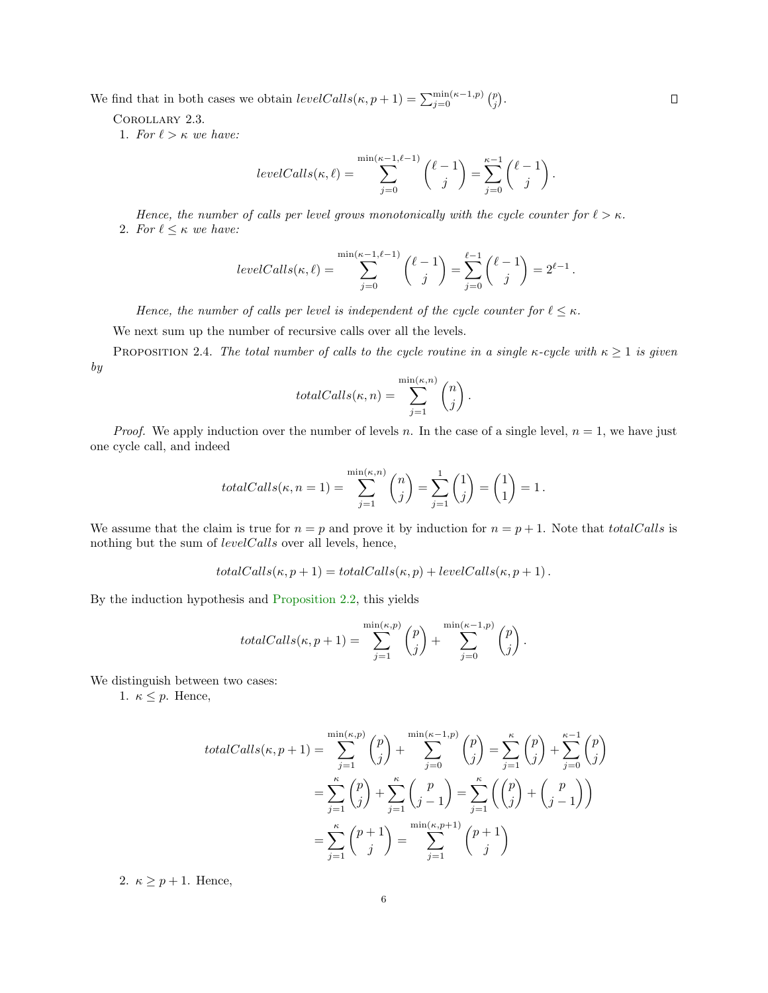We find that in both cases we obtain  $levelCalls(\kappa, p+1) = \sum_{j=0}^{\min(\kappa-1, p)} {p \choose j}.$ 

<span id="page-5-0"></span>Corollary 2.3.

1. For  $\ell > \kappa$  we have:

$$
levelCalls(\kappa, \ell) = \sum_{j=0}^{\min(\kappa-1, \ell-1)} {\ell-1 \choose j} = \sum_{j=0}^{\kappa-1} {\ell-1 \choose j}.
$$

Hence, the number of calls per level grows monotonically with the cycle counter for  $\ell > \kappa$ . 2. For  $\ell \leq \kappa$  we have:

$$
levelCalls(\kappa, \ell) = \sum_{j=0}^{\min(\kappa - 1, \ell - 1)} {\ell - 1 \choose j} = \sum_{j=0}^{\ell - 1} {\ell - 1 \choose j} = 2^{\ell - 1}.
$$

Hence, the number of calls per level is independent of the cycle counter for  $\ell \leq \kappa$ .

We next sum up the number of recursive calls over all the levels.

PROPOSITION 2.4. The total number of calls to the cycle routine in a single  $\kappa$ -cycle with  $\kappa \geq 1$  is given by

$$
totalCalls(\kappa, n) = \sum_{j=1}^{\min(\kappa, n)} {n \choose j}.
$$

*Proof.* We apply induction over the number of levels n. In the case of a single level,  $n = 1$ , we have just one cycle call, and indeed

$$
totalCalls(\kappa, n = 1) = \sum_{j=1}^{\min(\kappa, n)} {n \choose j} = \sum_{j=1}^{1} {1 \choose j} = {1 \choose 1} = 1.
$$

We assume that the claim is true for  $n = p$  and prove it by induction for  $n = p + 1$ . Note that *totalCalls* is nothing but the sum of *levelCalls* over all levels, hence,

$$
totalCalls(\kappa, p+1) = totalCalls(\kappa, p) + levelCalls(\kappa, p+1).
$$

By the induction hypothesis and [Proposition 2.2,](#page-3-1) this yields

$$
totalCalls(\kappa, p+1) = \sum_{j=1}^{\min(\kappa, p)} {p \choose j} + \sum_{j=0}^{\min(\kappa-1, p)} {p \choose j}
$$

.

We distinguish between two cases:

1.  $\kappa \leq p$ . Hence,

$$
totalCalls(\kappa, p+1) = \sum_{j=1}^{\min(\kappa, p)} \binom{p}{j} + \sum_{j=0}^{\min(\kappa-1, p)} \binom{p}{j} = \sum_{j=1}^{\kappa} \binom{p}{j} + \sum_{j=0}^{\kappa-1} \binom{p}{j}
$$

$$
= \sum_{j=1}^{\kappa} \binom{p}{j} + \sum_{j=1}^{\kappa} \binom{p}{j-1} = \sum_{j=1}^{\kappa} \binom{\binom{p}{j}}{j} + \binom{p}{j-1}
$$

$$
= \sum_{j=1}^{\kappa} \binom{p+1}{j} = \sum_{j=1}^{\min(\kappa, p+1)} \binom{p+1}{j}
$$

2.  $\kappa \geq p+1$ . Hence,

 $\Box$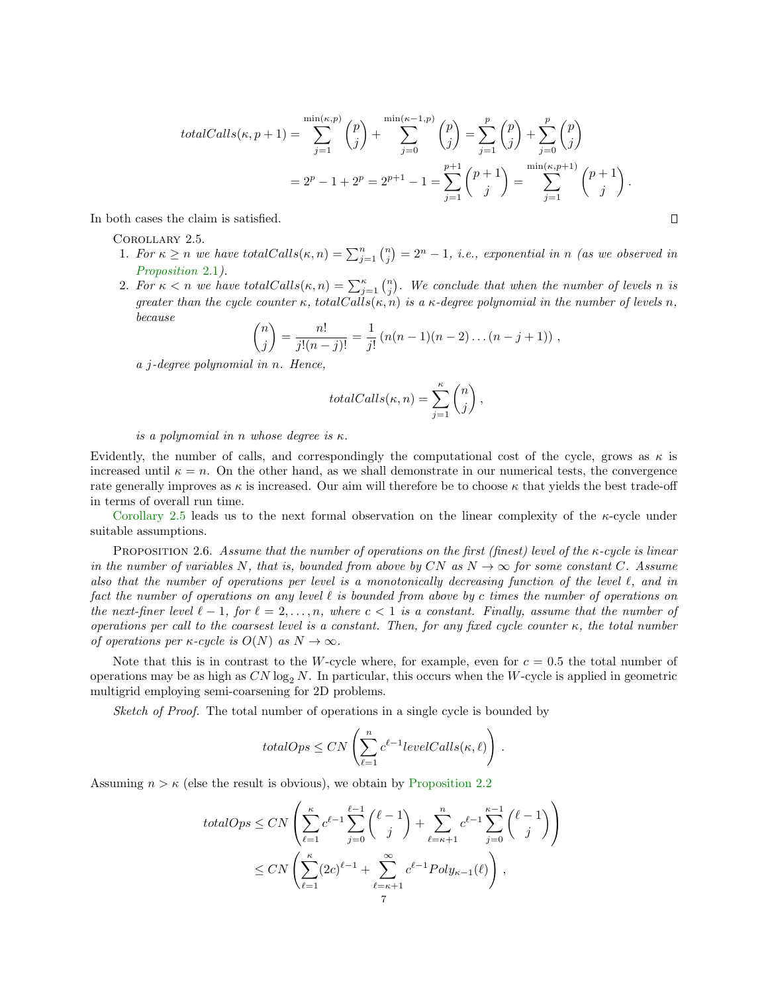$$
totalCalls(\kappa, p+1) = \sum_{j=1}^{\min(\kappa, p)} {p \choose j} + \sum_{j=0}^{\min(\kappa - 1, p)} {p \choose j} = \sum_{j=1}^p {p \choose j} + \sum_{j=0}^p {p \choose j}
$$
  
=  $2^p - 1 + 2^p = 2^{p+1} - 1 = \sum_{j=1}^{p+1} {p+1 \choose j} = \sum_{j=1}^{\min(\kappa, p+1)} {p+1 \choose j}.$ 

 $\Box$ 

<span id="page-6-0"></span>In both cases the claim is satisfied.

COROLLARY 2.5.

- 1. For  $\kappa \geq n$  we have totalCalls $(\kappa, n) = \sum_{j=1}^{n} {n \choose j} = 2^{n} 1$ , i.e., exponential in n (as we observed in [Proposition](#page-2-3) 2.1).
- 2. For  $\kappa < n$  we have total Calls $(\kappa, n) = \sum_{j=1}^{\kappa} {n \choose j}$ . We conclude that when the number of levels n is greater than the cycle counter  $\kappa$ , totalCalls $(\kappa, n)$  is a  $\kappa$ -degree polynomial in the number of levels n, because

$$
\binom{n}{j} = \frac{n!}{j!(n-j)!} = \frac{1}{j!} (n(n-1)(n-2)\dots(n-j+1)),
$$

a j-degree polynomial in n. Hence,

$$
totalCalls(\kappa, n) = \sum_{j=1}^{\kappa} {n \choose j},
$$

is a polynomial in n whose degree is  $\kappa$ .

Evidently, the number of calls, and correspondingly the computational cost of the cycle, grows as  $\kappa$  is increased until  $\kappa = n$ . On the other hand, as we shall demonstrate in our numerical tests, the convergence rate generally improves as  $\kappa$  is increased. Our aim will therefore be to choose  $\kappa$  that yields the best trade-off in terms of overall run time.

[Corollary 2.5](#page-6-0) leads us to the next formal observation on the linear complexity of the  $\kappa$ -cycle under suitable assumptions.

<span id="page-6-1"></span>PROPOSITION 2.6. Assume that the number of operations on the first (finest) level of the  $\kappa$ -cycle is linear in the number of variables N, that is, bounded from above by CN as  $N \to \infty$  for some constant C. Assume also that the number of operations per level is a monotonically decreasing function of the level  $\ell$ , and in fact the number of operations on any level  $\ell$  is bounded from above by c times the number of operations on the next-finer level  $\ell - 1$ , for  $\ell = 2, \ldots, n$ , where  $c < 1$  is a constant. Finally, assume that the number of operations per call to the coarsest level is a constant. Then, for any fixed cycle counter  $\kappa$ , the total number of operations per  $\kappa$ -cycle is  $O(N)$  as  $N \to \infty$ .

Note that this is in contrast to the W-cycle where, for example, even for  $c = 0.5$  the total number of operations may be as high as  $CN \log_2 N$ . In particular, this occurs when the W-cycle is applied in geometric multigrid employing semi-coarsening for 2D problems.

Sketch of Proof. The total number of operations in a single cycle is bounded by

$$
totalOps \leq CN\left(\sum_{\ell=1}^n c^{\ell-1} levelCalls(\kappa,\ell)\right).
$$

Assuming  $n > \kappa$  (else the result is obvious), we obtain by [Proposition 2.2](#page-3-1)

$$
totalOps \le CN \left(\sum_{\ell=1}^{\kappa} c^{\ell-1} \sum_{j=0}^{\ell-1} {\ell-1 \choose j} + \sum_{\ell=\kappa+1}^{n} c^{\ell-1} \sum_{j=0}^{\kappa-1} {\ell-1 \choose j} \right)
$$
  

$$
\le CN \left(\sum_{\ell=1}^{\kappa} (2c)^{\ell-1} + \sum_{\ell=\kappa+1}^{\infty} c^{\ell-1} Poly_{\kappa-1}(\ell) \right),
$$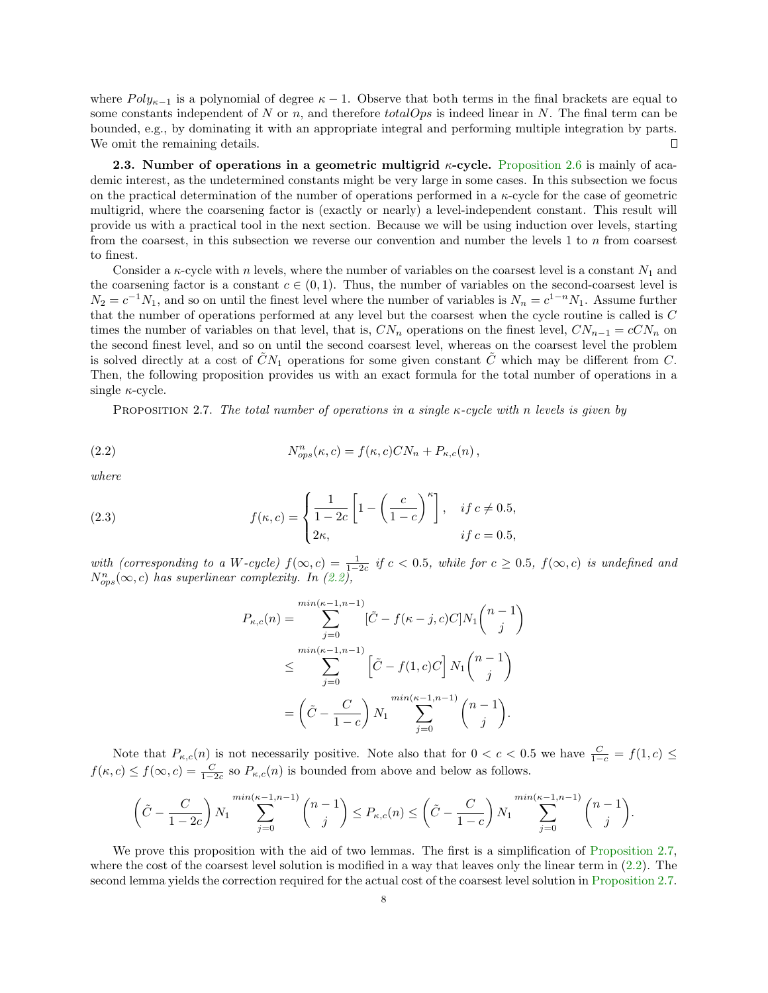where  $Poly_{\kappa-1}$  is a polynomial of degree  $\kappa-1$ . Observe that both terms in the final brackets are equal to some constants independent of N or n, and therefore  $totalOps$  is indeed linear in N. The final term can be bounded, e.g., by dominating it with an appropriate integral and performing multiple integration by parts. We omit the remaining details.  $\Box$ 

2.3. Number of operations in a geometric multigrid  $\kappa$ -cycle. [Proposition 2.6](#page-6-1) is mainly of academic interest, as the undetermined constants might be very large in some cases. In this subsection we focus on the practical determination of the number of operations performed in a  $\kappa$ -cycle for the case of geometric multigrid, where the coarsening factor is (exactly or nearly) a level-independent constant. This result will provide us with a practical tool in the next section. Because we will be using induction over levels, starting from the coarsest, in this subsection we reverse our convention and number the levels 1 to n from coarsest to finest.

Consider a  $\kappa$ -cycle with n levels, where the number of variables on the coarsest level is a constant  $N_1$  and the coarsening factor is a constant  $c \in (0,1)$ . Thus, the number of variables on the second-coarsest level is  $N_2 = c^{-1}N_1$ , and so on until the finest level where the number of variables is  $N_n = c^{1-n}N_1$ . Assume further that the number of operations performed at any level but the coarsest when the cycle routine is called is C times the number of variables on that level, that is,  $CN_n$  operations on the finest level,  $CN_{n-1} = cCN_n$  on the second finest level, and so on until the second coarsest level, whereas on the coarsest level the problem is solved directly at a cost of  $\tilde{C}N_1$  operations for some given constant  $\tilde{C}$  which may be different from C. Then, the following proposition provides us with an exact formula for the total number of operations in a single  $\kappa$ -cycle.

<span id="page-7-1"></span>PROPOSITION 2.7. The total number of operations in a single  $\kappa$ -cycle with n levels is given by

(2.2) 
$$
N_{ops}^n(\kappa, c) = f(\kappa, c)CN_n + P_{\kappa, c}(n),
$$

where

(2.3) 
$$
f(\kappa, c) = \begin{cases} \frac{1}{1 - 2c} \left[ 1 - \left( \frac{c}{1 - c} \right)^{\kappa} \right], & \text{if } c \neq 0.5, \\ 2\kappa, & \text{if } c = 0.5, \end{cases}
$$

with (corresponding to a W-cycle)  $f(\infty, c) = \frac{1}{1-2c}$  if  $c < 0.5$ , while for  $c \ge 0.5$ ,  $f(\infty, c)$  is undefined and  $N_{ops}^n(\infty, c)$  has superlinear complexity. In [\(2.2\)](#page-7-0),

<span id="page-7-2"></span><span id="page-7-0"></span>
$$
P_{\kappa,c}(n) = \sum_{j=0}^{\min(\kappa-1,n-1)} [\tilde{C} - f(\kappa - j, c)C]N_1 \binom{n-1}{j}
$$
  

$$
\leq \sum_{j=0}^{\min(\kappa-1,n-1)} [\tilde{C} - f(1, c)C]N_1 \binom{n-1}{j}
$$
  

$$
= (\tilde{C} - \frac{C}{1-c})N_1 \sum_{j=0}^{\min(\kappa-1,n-1)} \binom{n-1}{j}.
$$

Note that  $P_{\kappa,c}(n)$  is not necessarily positive. Note also that for  $0 < c < 0.5$  we have  $\frac{C}{1-c} = f(1,c) \le$  $f(\kappa, c) \le f(\infty, c) = \frac{C}{1-2c}$  so  $P_{\kappa, c}(n)$  is bounded from above and below as follows.

$$
\left(\tilde{C} - \frac{C}{1-2c}\right)N_1 \sum_{j=0}^{\min(\kappa-1, n-1)} \binom{n-1}{j} \le P_{\kappa, c}(n) \le \left(\tilde{C} - \frac{C}{1-c}\right)N_1 \sum_{j=0}^{\min(\kappa-1, n-1)} \binom{n-1}{j}.
$$

<span id="page-7-3"></span>We prove this proposition with the aid of two lemmas. The first is a simplification of [Proposition 2.7,](#page-7-1) where the cost of the coarsest level solution is modified in a way that leaves only the linear term in  $(2.2)$ . The second lemma yields the correction required for the actual cost of the coarsest level solution in [Proposition 2.7.](#page-7-1)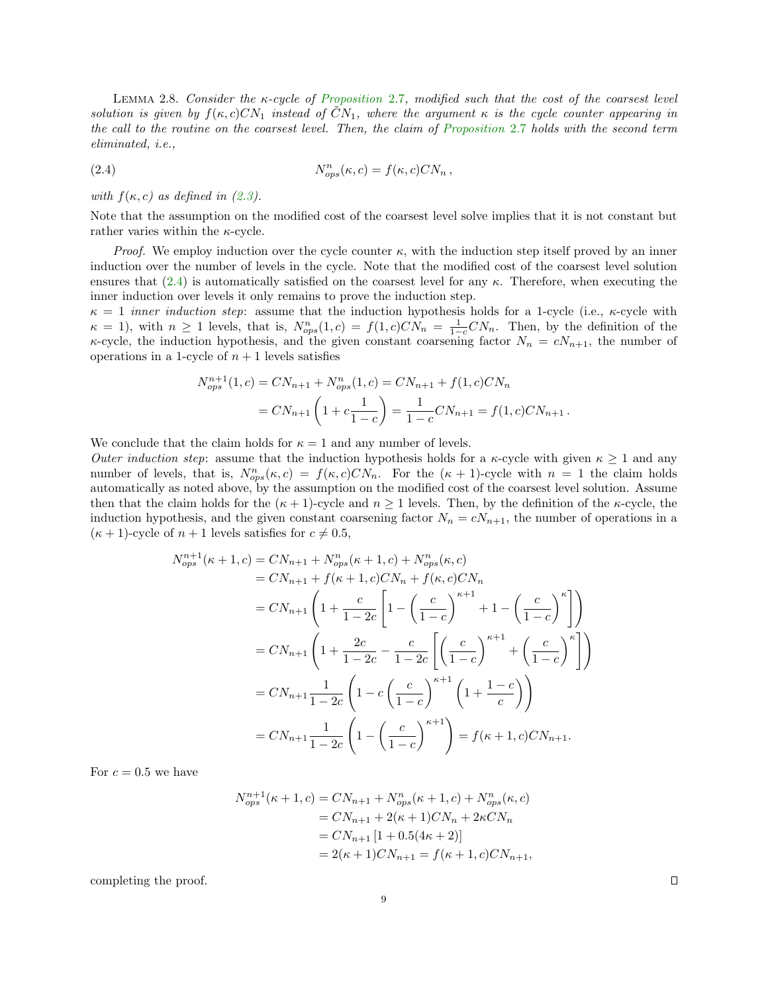LEMMA 2.8. Consider the  $\kappa$ -cycle of [Proposition](#page-7-1) 2.7, modified such that the cost of the coarsest level solution is given by  $f(\kappa, c)CN_1$  instead of  $\tilde{C}N_1$ , where the argument  $\kappa$  is the cycle counter appearing in the call to the routine on the coarsest level. Then, the claim of [Proposition](#page-7-1) 2.7 holds with the second term eliminated, i.e.,

<span id="page-8-0"></span>(2.4) 
$$
N_{ops}^n(\kappa, c) = f(\kappa, c)CN_n,
$$

with  $f(\kappa, c)$  as defined in [\(2.3\)](#page-7-2).

Note that the assumption on the modified cost of the coarsest level solve implies that it is not constant but rather varies within the  $\kappa$ -cycle.

*Proof.* We employ induction over the cycle counter  $\kappa$ , with the induction step itself proved by an inner induction over the number of levels in the cycle. Note that the modified cost of the coarsest level solution ensures that  $(2.4)$  is automatically satisfied on the coarsest level for any  $\kappa$ . Therefore, when executing the inner induction over levels it only remains to prove the induction step.

 $\kappa = 1$  inner induction step: assume that the induction hypothesis holds for a 1-cycle (i.e.,  $\kappa$ -cycle with  $\kappa = 1$ , with  $n \ge 1$  levels, that is,  $N_{ops}^n(1,c) = f(1,c)CN_n = \frac{1}{1-c}CN_n$ . Then, by the definition of the  $\kappa$ -cycle, the induction hypothesis, and the given constant coarsening factor  $N_n = cN_{n+1}$ , the number of operations in a 1-cycle of  $n + 1$  levels satisfies

$$
N_{ops}^{n+1}(1, c) = CN_{n+1} + N_{ops}^{n}(1, c) = CN_{n+1} + f(1, c)CN_n
$$
  
= 
$$
CN_{n+1}\left(1 + c\frac{1}{1-c}\right) = \frac{1}{1-c}CN_{n+1} = f(1, c)CN_{n+1}.
$$

We conclude that the claim holds for  $\kappa = 1$  and any number of levels.

Outer induction step: assume that the induction hypothesis holds for a  $\kappa$ -cycle with given  $\kappa \geq 1$  and any number of levels, that is,  $N_{ops}^n(\kappa, c) = f(\kappa, c)CN_n$ . For the  $(\kappa + 1)$ -cycle with  $n = 1$  the claim holds automatically as noted above, by the assumption on the modified cost of the coarsest level solution. Assume then that the claim holds for the  $(\kappa + 1)$ -cycle and  $n \ge 1$  levels. Then, by the definition of the  $\kappa$ -cycle, the induction hypothesis, and the given constant coarsening factor  $N_n = cN_{n+1}$ , the number of operations in a  $(\kappa + 1)$ -cycle of  $n + 1$  levels satisfies for  $c \neq 0.5$ ,

$$
N_{ops}^{n+1}(\kappa+1, c) = CN_{n+1} + N_{ops}^n(\kappa+1, c) + N_{ops}^n(\kappa, c)
$$
  
= CN\_{n+1} + f(\kappa+1, c)CN\_n + f(\kappa, c)CN\_n  
= CN\_{n+1} \left(1 + \frac{c}{1-2c} \left[1 - \left(\frac{c}{1-c}\right)^{\kappa+1} + 1 - \left(\frac{c}{1-c}\right)^{\kappa}\right]\right)  
= CN\_{n+1} \left(1 + \frac{2c}{1-2c} - \frac{c}{1-2c} \left[\left(\frac{c}{1-c}\right)^{\kappa+1} + \left(\frac{c}{1-c}\right)^{\kappa}\right]\right)  
= CN\_{n+1} \frac{1}{1-2c} \left(1 - c\left(\frac{c}{1-c}\right)^{\kappa+1} \left(1 + \frac{1-c}{c}\right)\right)  
= CN\_{n+1} \frac{1}{1-2c} \left(1 - \left(\frac{c}{1-c}\right)^{\kappa+1}\right) = f(\kappa+1, c)CN\_{n+1}.

For  $c = 0.5$  we have

$$
N_{ops}^{n+1}(\kappa+1, c) = CN_{n+1} + N_{ops}^n(\kappa+1, c) + N_{ops}^n(\kappa, c)
$$
  
= CN\_{n+1} + 2(\kappa+1)CN\_n + 2\kappa CN\_n  
= CN\_{n+1}[1+0.5(4\kappa+2)]  
= 2(\kappa+1)CN\_{n+1} = f(\kappa+1, c)CN\_{n+1},

completing the proof.

 $\Box$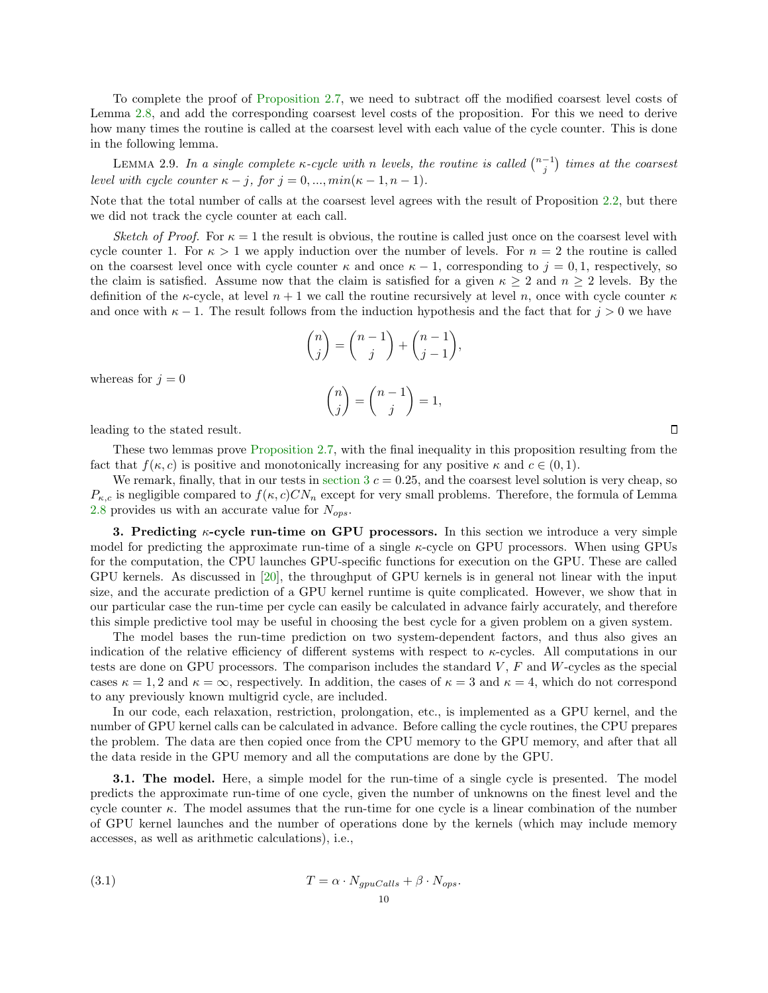To complete the proof of [Proposition 2.7,](#page-7-1) we need to subtract off the modified coarsest level costs of Lemma [2.8,](#page-7-3) and add the corresponding coarsest level costs of the proposition. For this we need to derive how many times the routine is called at the coarsest level with each value of the cycle counter. This is done in the following lemma.

LEMMA 2.9. In a single complete  $\kappa$ -cycle with n levels, the routine is called  $\binom{n-1}{j}$  times at the coarsest level with cycle counter  $\kappa - j$ , for  $j = 0, ..., min(\kappa - 1, n - 1)$ .

Note that the total number of calls at the coarsest level agrees with the result of Proposition [2.2,](#page-3-1) but there we did not track the cycle counter at each call.

Sketch of Proof. For  $\kappa = 1$  the result is obvious, the routine is called just once on the coarsest level with cycle counter 1. For  $\kappa > 1$  we apply induction over the number of levels. For  $n = 2$  the routine is called on the coarsest level once with cycle counter  $\kappa$  and once  $\kappa - 1$ , corresponding to  $j = 0, 1$ , respectively, so the claim is satisfied. Assume now that the claim is satisfied for a given  $\kappa \geq 2$  and  $n \geq 2$  levels. By the definition of the  $\kappa$ -cycle, at level  $n + 1$  we call the routine recursively at level n, once with cycle counter  $\kappa$ and once with  $\kappa - 1$ . The result follows from the induction hypothesis and the fact that for  $j > 0$  we have

$$
\binom{n}{j} = \binom{n-1}{j} + \binom{n-1}{j-1}
$$

$$
\binom{n}{j} = \binom{n-1}{j} = 1,
$$

,

whereas for  $j = 0$ 

leading to the stated result.

These two lemmas prove [Proposition 2.7,](#page-7-1) with the final inequality in this proposition resulting from the fact that  $f(\kappa, c)$  is positive and monotonically increasing for any positive  $\kappa$  and  $c \in (0, 1)$ .

We remark, finally, that in our tests in section  $3 c = 0.25$ , and the coarsest level solution is very cheap, so  $P_{\kappa,c}$  is negligible compared to  $f(\kappa,c)CN_n$  except for very small problems. Therefore, the formula of Lemma [2.8](#page-7-3) provides us with an accurate value for  $N_{ops}$ .

<span id="page-9-0"></span>3. Predicting  $\kappa$ -cycle run-time on GPU processors. In this section we introduce a very simple model for predicting the approximate run-time of a single  $\kappa$ -cycle on GPU processors. When using GPUs for the computation, the CPU launches GPU-specific functions for execution on the GPU. These are called GPU kernels. As discussed in [\[20\]](#page-19-12), the throughput of GPU kernels is in general not linear with the input size, and the accurate prediction of a GPU kernel runtime is quite complicated. However, we show that in our particular case the run-time per cycle can easily be calculated in advance fairly accurately, and therefore this simple predictive tool may be useful in choosing the best cycle for a given problem on a given system.

The model bases the run-time prediction on two system-dependent factors, and thus also gives an indication of the relative efficiency of different systems with respect to  $\kappa$ -cycles. All computations in our tests are done on GPU processors. The comparison includes the standard  $V$ ,  $F$  and  $W$ -cycles as the special cases  $\kappa = 1, 2$  and  $\kappa = \infty$ , respectively. In addition, the cases of  $\kappa = 3$  and  $\kappa = 4$ , which do not correspond to any previously known multigrid cycle, are included.

In our code, each relaxation, restriction, prolongation, etc., is implemented as a GPU kernel, and the number of GPU kernel calls can be calculated in advance. Before calling the cycle routines, the CPU prepares the problem. The data are then copied once from the CPU memory to the GPU memory, and after that all the data reside in the GPU memory and all the computations are done by the GPU.

**3.1.** The model. Here, a simple model for the run-time of a single cycle is presented. The model predicts the approximate run-time of one cycle, given the number of unknowns on the finest level and the cycle counter  $\kappa$ . The model assumes that the run-time for one cycle is a linear combination of the number of GPU kernel launches and the number of operations done by the kernels (which may include memory accesses, as well as arithmetic calculations), i.e.,

<span id="page-9-1"></span>(3.1) 
$$
T = \alpha \cdot N_{gpuCalls} + \beta \cdot N_{ops}.
$$

 $\Box$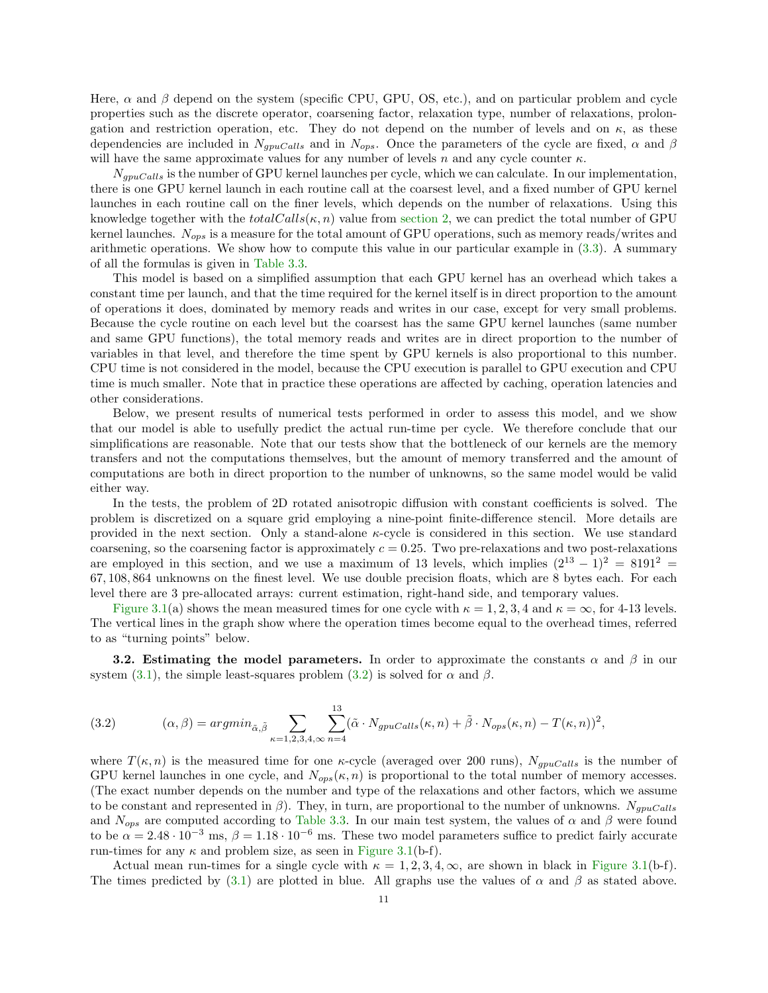Here,  $\alpha$  and  $\beta$  depend on the system (specific CPU, GPU, OS, etc.), and on particular problem and cycle properties such as the discrete operator, coarsening factor, relaxation type, number of relaxations, prolongation and restriction operation, etc. They do not depend on the number of levels and on  $\kappa$ , as these dependencies are included in  $N_{gpuCalls}$  and in  $N_{ops}$ . Once the parameters of the cycle are fixed,  $\alpha$  and  $\beta$ will have the same approximate values for any number of levels n and any cycle counter  $\kappa$ .

 $N_{g\nu\mu Cals}$  is the number of GPU kernel launches per cycle, which we can calculate. In our implementation, there is one GPU kernel launch in each routine call at the coarsest level, and a fixed number of GPU kernel launches in each routine call on the finer levels, which depends on the number of relaxations. Using this knowledge together with the totalCalls( $\kappa$ , n) value from [section 2,](#page-2-1) we can predict the total number of GPU kernel launches.  $N_{ops}$  is a measure for the total amount of GPU operations, such as memory reads/writes and arithmetic operations. We show how to compute this value in our particular example in [\(3.3\)](#page-11-0). A summary of all the formulas is given in [Table 3.3.](#page-14-0)

This model is based on a simplified assumption that each GPU kernel has an overhead which takes a constant time per launch, and that the time required for the kernel itself is in direct proportion to the amount of operations it does, dominated by memory reads and writes in our case, except for very small problems. Because the cycle routine on each level but the coarsest has the same GPU kernel launches (same number and same GPU functions), the total memory reads and writes are in direct proportion to the number of variables in that level, and therefore the time spent by GPU kernels is also proportional to this number. CPU time is not considered in the model, because the CPU execution is parallel to GPU execution and CPU time is much smaller. Note that in practice these operations are affected by caching, operation latencies and other considerations.

Below, we present results of numerical tests performed in order to assess this model, and we show that our model is able to usefully predict the actual run-time per cycle. We therefore conclude that our simplifications are reasonable. Note that our tests show that the bottleneck of our kernels are the memory transfers and not the computations themselves, but the amount of memory transferred and the amount of computations are both in direct proportion to the number of unknowns, so the same model would be valid either way.

In the tests, the problem of 2D rotated anisotropic diffusion with constant coefficients is solved. The problem is discretized on a square grid employing a nine-point finite-difference stencil. More details are provided in the next section. Only a stand-alone  $\kappa$ -cycle is considered in this section. We use standard coarsening, so the coarsening factor is approximately  $c = 0.25$ . Two pre-relaxations and two post-relaxations are employed in this section, and we use a maximum of 13 levels, which implies  $(2^{13} – 1)^2 = 8191^2 =$ 67, 108, 864 unknowns on the finest level. We use double precision floats, which are 8 bytes each. For each level there are 3 pre-allocated arrays: current estimation, right-hand side, and temporary values.

[Figure 3.1\(](#page-12-0)a) shows the mean measured times for one cycle with  $\kappa = 1, 2, 3, 4$  and  $\kappa = \infty$ , for 4-13 levels. The vertical lines in the graph show where the operation times become equal to the overhead times, referred to as "turning points" below.

**3.2.** Estimating the model parameters. In order to approximate the constants  $\alpha$  and  $\beta$  in our system [\(3.1\)](#page-9-1), the simple least-squares problem [\(3.2\)](#page-10-0) is solved for  $\alpha$  and  $\beta$ .

<span id="page-10-0"></span>(3.2) 
$$
(\alpha, \beta) = argmin_{\tilde{\alpha}, \tilde{\beta}} \sum_{\kappa=1,2,3,4,\infty} \sum_{n=4}^{13} (\tilde{\alpha} \cdot N_{gpuCalls}(\kappa, n) + \tilde{\beta} \cdot N_{ops}(\kappa, n) - T(\kappa, n))^2,
$$

where  $T(\kappa, n)$  is the measured time for one  $\kappa$ -cycle (averaged over 200 runs),  $N_{gpuCalls}$  is the number of GPU kernel launches in one cycle, and  $N_{ops}(\kappa, n)$  is proportional to the total number of memory accesses. (The exact number depends on the number and type of the relaxations and other factors, which we assume to be constant and represented in  $\beta$ ). They, in turn, are proportional to the number of unknowns.  $N_{gpuCalls}$ and  $N_{ops}$  are computed according to [Table 3.3.](#page-14-0) In our main test system, the values of  $\alpha$  and  $\beta$  were found to be  $\alpha = 2.48 \cdot 10^{-3}$  ms,  $\beta = 1.18 \cdot 10^{-6}$  ms. These two model parameters suffice to predict fairly accurate run-times for any  $\kappa$  and problem size, as seen in [Figure 3.1\(](#page-12-0)b-f).

Actual mean run-times for a single cycle with  $\kappa = 1, 2, 3, 4, \infty$ , are shown in black in [Figure 3.1\(](#page-12-0)b-f). The times predicted by [\(3.1\)](#page-9-1) are plotted in blue. All graphs use the values of  $\alpha$  and  $\beta$  as stated above.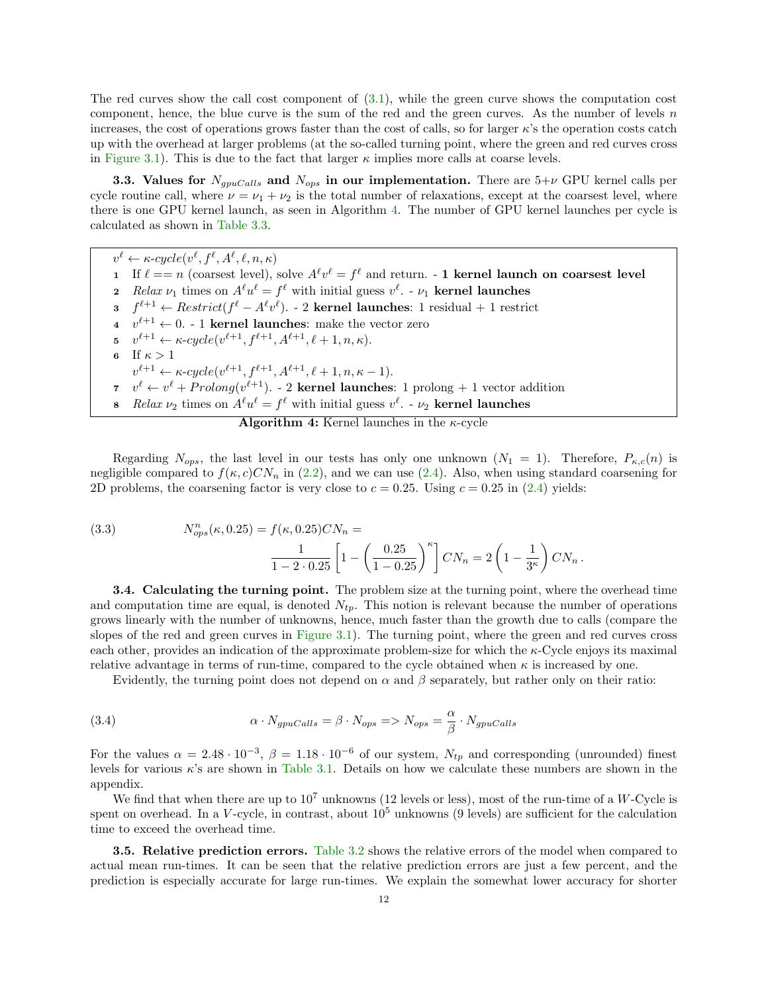The red curves show the call cost component of  $(3.1)$ , while the green curve shows the computation cost component, hence, the blue curve is the sum of the red and the green curves. As the number of levels  $n$ increases, the cost of operations grows faster than the cost of calls, so for larger  $\kappa$ 's the operation costs catch up with the overhead at larger problems (at the so-called turning point, where the green and red curves cross in [Figure 3.1\)](#page-12-0). This is due to the fact that larger  $\kappa$  implies more calls at coarse levels.

**3.3. Values for**  $N_{gpuCalls}$  and  $N_{ops}$  in our implementation. There are 5+ $\nu$  GPU kernel calls per cycle routine call, where  $\nu = \nu_1 + \nu_2$  is the total number of relaxations, except at the coarsest level, where there is one GPU kernel launch, as seen in Algorithm [4.](#page-11-1) The number of GPU kernel launches per cycle is calculated as shown in [Table 3.3.](#page-14-0)

<span id="page-11-1"></span> $v^{\ell} \leftarrow \kappa\text{-cycle}(v^{\ell}, f^{\ell}, A^{\ell}, \ell, n, \kappa)$ 

- 1 If  $\ell = n$  (coarsest level), solve  $A^{\ell}v^{\ell} = f^{\ell}$  and return. 1 kernel launch on coarsest level
- 2 Relax  $\nu_1$  times on  $A^{\ell}u^{\ell} = f^{\ell}$  with initial guess  $v^{\ell}$ .  $\nu_1$  kernel launches
- 3  $f^{\ell+1} \leftarrow$  Restrict( $f^{\ell} A^{\ell} v^{\ell}$ ). 2 kernel launches: 1 residual + 1 restrict
- $4 \quad v^{\ell+1} \leftarrow 0.$  1 kernel launches: make the vector zero
- 5  $v^{\ell+1} \leftarrow \kappa$ -cycle( $v^{\ell+1}, f^{\ell+1}, A^{\ell+1}, \ell+1, n, \kappa$ ).
- 6 If  $\kappa > 1$  $v^{\ell+1} \leftarrow \kappa$ -cycle $(v^{\ell+1}, f^{\ell+1}, A^{\ell+1}, \ell+1, n, \kappa-1).$
- $\tau \quad v^{\ell} \leftarrow v^{\ell} + Prolong(v^{\ell+1})$ . 2 kernel launches: 1 prolong + 1 vector addition
- 8 Relax  $\nu_2$  times on  $A^{\ell}u^{\ell} = f^{\ell}$  with initial guess  $v^{\ell}$ .  $\nu_2$  kernel launches

Algorithm 4: Kernel launches in the  $\kappa$ -cycle

Regarding  $N_{ops}$ , the last level in our tests has only one unknown  $(N_1 = 1)$ . Therefore,  $P_{\kappa,c}(n)$  is negligible compared to  $f(\kappa, c)CN_n$  in [\(2.2\)](#page-7-0), and we can use [\(2.4\)](#page-8-0). Also, when using standard coarsening for 2D problems, the coarsening factor is very close to  $c = 0.25$ . Using  $c = 0.25$  in [\(2.4\)](#page-8-0) yields:

<span id="page-11-0"></span>(3.3) 
$$
N_{ops}^n(\kappa, 0.25) = f(\kappa, 0.25)CN_n = \frac{1}{1 - 2 \cdot 0.25} \left[ 1 - \left( \frac{0.25}{1 - 0.25} \right)^{\kappa} \right] CN_n = 2 \left( 1 - \frac{1}{3^{\kappa}} \right) CN_n.
$$

3.4. Calculating the turning point. The problem size at the turning point, where the overhead time and computation time are equal, is denoted  $N_{tp}$ . This notion is relevant because the number of operations grows linearly with the number of unknowns, hence, much faster than the growth due to calls (compare the slopes of the red and green curves in [Figure 3.1\)](#page-12-0). The turning point, where the green and red curves cross each other, provides an indication of the approximate problem-size for which the κ-Cycle enjoys its maximal relative advantage in terms of run-time, compared to the cycle obtained when  $\kappa$  is increased by one.

Evidently, the turning point does not depend on  $\alpha$  and  $\beta$  separately, but rather only on their ratio:

(3.4) 
$$
\alpha \cdot N_{spuCalls} = \beta \cdot N_{ops} = N_{ops} = \frac{\alpha}{\beta} \cdot N_{spuCalls}
$$

For the values  $\alpha = 2.48 \cdot 10^{-3}$ ,  $\beta = 1.18 \cdot 10^{-6}$  of our system,  $N_{tp}$  and corresponding (unrounded) finest levels for various  $\kappa$ 's are shown in [Table 3.1.](#page-13-1) Details on how we calculate these numbers are shown in the appendix.

We find that when there are up to  $10^7$  unknowns (12 levels or less), most of the run-time of a W-Cycle is spent on overhead. In a V-cycle, in contrast, about  $10^5$  unknowns (9 levels) are sufficient for the calculation time to exceed the overhead time.

3.5. Relative prediction errors. [Table 3.2](#page-13-2) shows the relative errors of the model when compared to actual mean run-times. It can be seen that the relative prediction errors are just a few percent, and the prediction is especially accurate for large run-times. We explain the somewhat lower accuracy for shorter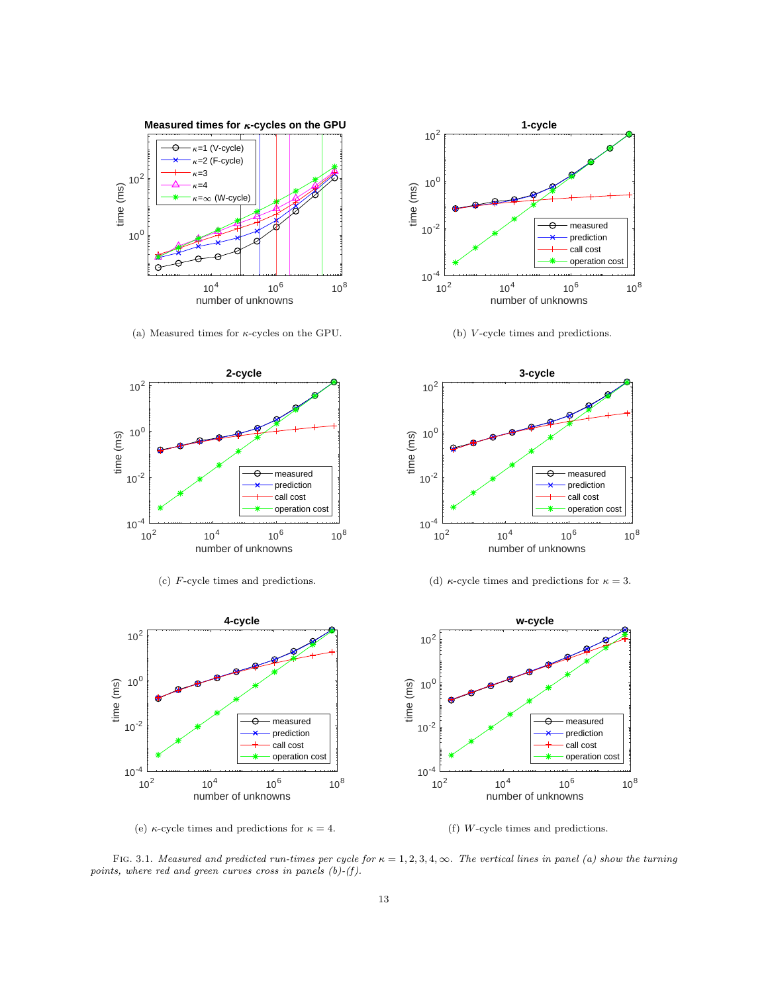<span id="page-12-0"></span>

(a) Measured times for  $\kappa\text{-cycles}$  on the GPU.



(c) F-cycle times and predictions.



(e)  $\kappa$ -cycle times and predictions for  $\kappa = 4$ .



(b) V-cycle times and predictions.



(d)  $\kappa$ -cycle times and predictions for  $\kappa = 3$ .



(f) W-cycle times and predictions.

FIG. 3.1. Measured and predicted run-times per cycle for  $\kappa = 1, 2, 3, 4, \infty$ . The vertical lines in panel (a) show the turning points, where red and green curves cross in panels  $(b)-(f)$ .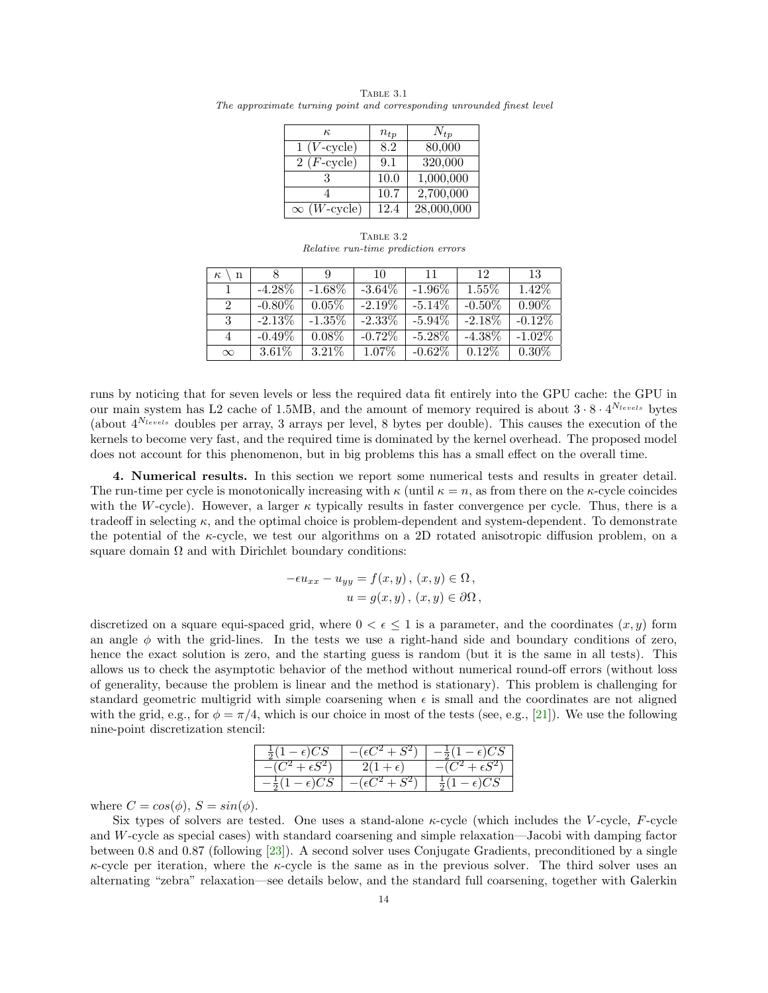| к.                          | $n_{tp}$ | $N_{tp}$   |
|-----------------------------|----------|------------|
| $1 (V$ -cycle)              | 8.2      | 80,000     |
| $2$ ( <i>F</i> -cycle)      | 9.1      | 320,000    |
|                             | 10.0     | 1,000,000  |
|                             | 10.7     | 2,700,000  |
| $\infty$ ( <i>W</i> -cycle) | 12.4     | 28,000,000 |

<span id="page-13-1"></span>TABLE 3.1 The approximate turning point and corresponding unrounded finest level

Table 3.2 Relative run-time prediction errors

<span id="page-13-2"></span>

| $\kappa$<br>n               |           | Q         | 10        | 11        | 12        | 13        |
|-----------------------------|-----------|-----------|-----------|-----------|-----------|-----------|
|                             | $-4.28\%$ | $-1.68\%$ | $-3.64\%$ | $-1.96\%$ | 1.55%     | 1.42\%    |
| $\mathcal{D}_{\mathcal{L}}$ | $-0.80\%$ | 0.05%     | $-2.19\%$ | $-5.14\%$ | $-0.50\%$ | $0.90\%$  |
| 3                           | $-2.13\%$ | $-1.35\%$ | $-2.33\%$ | $-5.94\%$ | $-2.18\%$ | $-0.12\%$ |
| 4                           | $-0.49\%$ | $0.08\%$  | $-0.72\%$ | $-5.28\%$ | $-4.38\%$ | $-1.02\%$ |
| $\infty$                    | $3.61\%$  | 3.21%     | 1.07\%    | $-0.62\%$ | $0.12\%$  | $0.30\%$  |

runs by noticing that for seven levels or less the required data fit entirely into the GPU cache: the GPU in our main system has L2 cache of 1.5MB, and the amount of memory required is about  $3 \cdot 8 \cdot 4^{N_{levels}}$  bytes (about  $4^{N_{levels}}$  doubles per array, 3 arrays per level, 8 bytes per double). This causes the execution of the kernels to become very fast, and the required time is dominated by the kernel overhead. The proposed model does not account for this phenomenon, but in big problems this has a small effect on the overall time.

<span id="page-13-0"></span>4. Numerical results. In this section we report some numerical tests and results in greater detail. The run-time per cycle is monotonically increasing with  $\kappa$  (until  $\kappa = n$ , as from there on the  $\kappa$ -cycle coincides with the W-cycle). However, a larger  $\kappa$  typically results in faster convergence per cycle. Thus, there is a tradeoff in selecting  $\kappa$ , and the optimal choice is problem-dependent and system-dependent. To demonstrate the potential of the  $\kappa$ -cycle, we test our algorithms on a 2D rotated anisotropic diffusion problem, on a square domain  $\Omega$  and with Dirichlet boundary conditions:

$$
- \epsilon u_{xx} - u_{yy} = f(x, y), (x, y) \in \Omega,
$$
  

$$
u = g(x, y), (x, y) \in \partial\Omega,
$$

discretized on a square equi-spaced grid, where  $0 < \epsilon \leq 1$  is a parameter, and the coordinates  $(x, y)$  form an angle  $\phi$  with the grid-lines. In the tests we use a right-hand side and boundary conditions of zero, hence the exact solution is zero, and the starting guess is random (but it is the same in all tests). This allows us to check the asymptotic behavior of the method without numerical round-off errors (without loss of generality, because the problem is linear and the method is stationary). This problem is challenging for standard geometric multigrid with simple coarsening when  $\epsilon$  is small and the coordinates are not aligned with the grid, e.g., for  $\phi = \pi/4$ , which is our choice in most of the tests (see, e.g., [\[21\]](#page-19-13)). We use the following nine-point discretization stencil:

| $\frac{1}{2}(1-\epsilon)CS$           | $-(\epsilon C^2 + S^2)$ | $-\frac{1}{2}(1-\epsilon)CS$ |
|---------------------------------------|-------------------------|------------------------------|
| $-(C^2 + \epsilon S^2)$               | $2(1+\epsilon)$         | $-(C^2 + \epsilon S^2)$      |
| $-\epsilon) CS$<br>$-\frac{1}{2}(1 -$ | $(\epsilon C^2 + S^2)$  | $\frac{1}{2}(1-\epsilon)CS$  |

where  $C = cos(\phi)$ ,  $S = sin(\phi)$ .

Six types of solvers are tested. One uses a stand-alone  $\kappa$ -cycle (which includes the V-cycle, F-cycle and W-cycle as special cases) with standard coarsening and simple relaxation—Jacobi with damping factor between 0.8 and 0.87 (following [\[23\]](#page-19-14)). A second solver uses Conjugate Gradients, preconditioned by a single  $\kappa$ -cycle per iteration, where the  $\kappa$ -cycle is the same as in the previous solver. The third solver uses an alternating "zebra" relaxation—see details below, and the standard full coarsening, together with Galerkin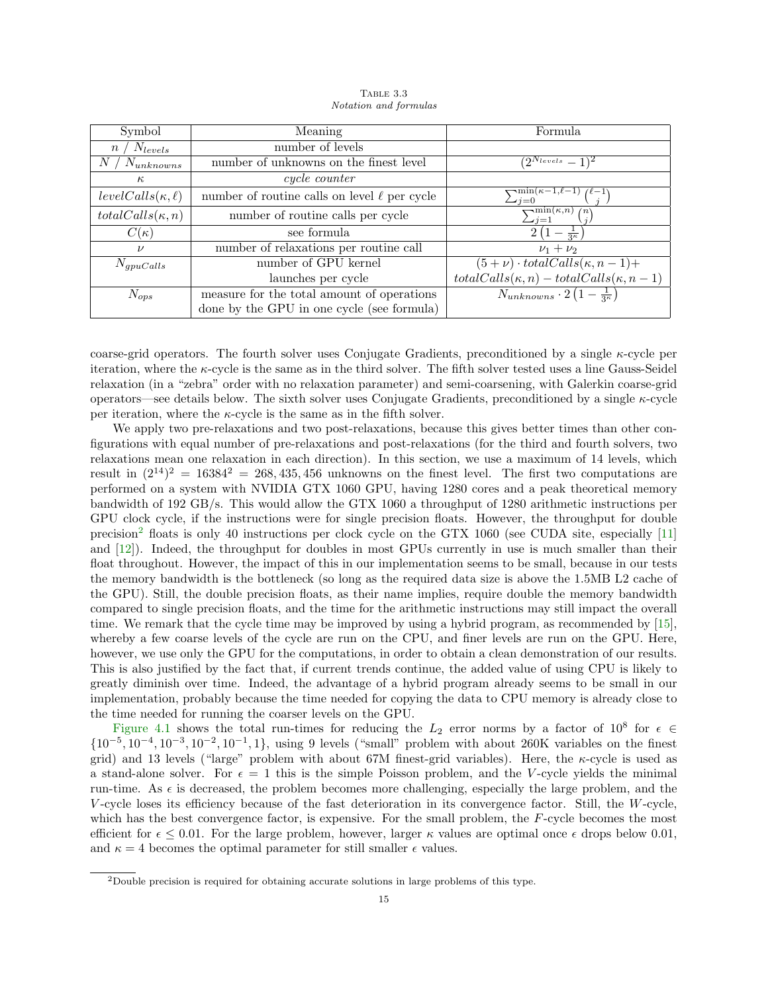<span id="page-14-0"></span>

| Symbol                     | Meaning                                           | Formula                                                |
|----------------------------|---------------------------------------------------|--------------------------------------------------------|
| $n / N_{levels}$           | number of levels                                  |                                                        |
| N<br>$N_{unknowns}$        | number of unknowns on the finest level            | $(2^{N_{levels}}-1)^2$                                 |
| $\kappa$                   | cycle counter                                     |                                                        |
| $levelCalls(\kappa, \ell)$ | number of routine calls on level $\ell$ per cycle | $\sum_{j=0}^{\min(\kappa-1,\ell-1)}$<br>$(\ell-1)$     |
| $totalCalls(\kappa, n)$    | number of routine calls per cycle                 | $\sum_{j=1}^{\min(\kappa,n)}$<br>(n)<br>$\mathbf{a}$   |
| $C(\kappa)$                | see formula                                       | 2(1)<br>$-\frac{1}{3\kappa}$                           |
| $\nu$                      | number of relaxations per routine call            | $\nu_1 + \nu_2$                                        |
| $N_{gpuCalls}$             | number of GPU kernel                              | $\sqrt{(5+\nu)\cdot totalCalls(\kappa,n-1)} +$         |
|                            | launches per cycle                                | $totalCalls(\kappa, n) - totalCalls(\kappa, n - 1)$    |
| $N_{ops}$                  | measure for the total amount of operations        | $N_{unknowns} \cdot 2\left(1-\frac{1}{3\kappa}\right)$ |
|                            | done by the GPU in one cycle (see formula)        |                                                        |

TABLE 3.3 Notation and formulas

coarse-grid operators. The fourth solver uses Conjugate Gradients, preconditioned by a single  $\kappa$ -cycle per iteration, where the κ-cycle is the same as in the third solver. The fifth solver tested uses a line Gauss-Seidel relaxation (in a "zebra" order with no relaxation parameter) and semi-coarsening, with Galerkin coarse-grid operators—see details below. The sixth solver uses Conjugate Gradients, preconditioned by a single  $\kappa$ -cycle per iteration, where the  $\kappa$ -cycle is the same as in the fifth solver.

We apply two pre-relaxations and two post-relaxations, because this gives better times than other configurations with equal number of pre-relaxations and post-relaxations (for the third and fourth solvers, two relaxations mean one relaxation in each direction). In this section, we use a maximum of 14 levels, which result in  $(2^{14})^2 = 16384^2 = 268,435,456$  unknowns on the finest level. The first two computations are performed on a system with NVIDIA GTX 1060 GPU, having 1280 cores and a peak theoretical memory bandwidth of 192 GB/s. This would allow the GTX 1060 a throughput of 1280 arithmetic instructions per GPU clock cycle, if the instructions were for single precision floats. However, the throughput for double precision[2](#page-14-1) floats is only 40 instructions per clock cycle on the GTX 1060 (see CUDA site, especially [\[11\]](#page-19-15) and [\[12\]](#page-19-16)). Indeed, the throughput for doubles in most GPUs currently in use is much smaller than their float throughout. However, the impact of this in our implementation seems to be small, because in our tests the memory bandwidth is the bottleneck (so long as the required data size is above the 1.5MB L2 cache of the GPU). Still, the double precision floats, as their name implies, require double the memory bandwidth compared to single precision floats, and the time for the arithmetic instructions may still impact the overall time. We remark that the cycle time may be improved by using a hybrid program, as recommended by [\[15\]](#page-19-17), whereby a few coarse levels of the cycle are run on the CPU, and finer levels are run on the GPU. Here, however, we use only the GPU for the computations, in order to obtain a clean demonstration of our results. This is also justified by the fact that, if current trends continue, the added value of using CPU is likely to greatly diminish over time. Indeed, the advantage of a hybrid program already seems to be small in our implementation, probably because the time needed for copying the data to CPU memory is already close to the time needed for running the coarser levels on the GPU.

[Figure 4.1](#page-15-0) shows the total run-times for reducing the  $L_2$  error norms by a factor of 10<sup>8</sup> for  $\epsilon \in$  $\{10^{-5}, 10^{-4}, 10^{-3}, 10^{-2}, 10^{-1}, 1\}$ , using 9 levels ("small" problem with about 260K variables on the finest grid) and 13 levels ("large" problem with about 67M finest-grid variables). Here, the  $\kappa$ -cycle is used as a stand-alone solver. For  $\epsilon = 1$  this is the simple Poisson problem, and the V-cycle yields the minimal run-time. As  $\epsilon$  is decreased, the problem becomes more challenging, especially the large problem, and the V -cycle loses its efficiency because of the fast deterioration in its convergence factor. Still, the W-cycle, which has the best convergence factor, is expensive. For the small problem, the  $F$ -cycle becomes the most efficient for  $\epsilon \leq 0.01$ . For the large problem, however, larger  $\kappa$  values are optimal once  $\epsilon$  drops below 0.01, and  $\kappa = 4$  becomes the optimal parameter for still smaller  $\epsilon$  values.

<span id="page-14-1"></span><sup>2</sup>Double precision is required for obtaining accurate solutions in large problems of this type.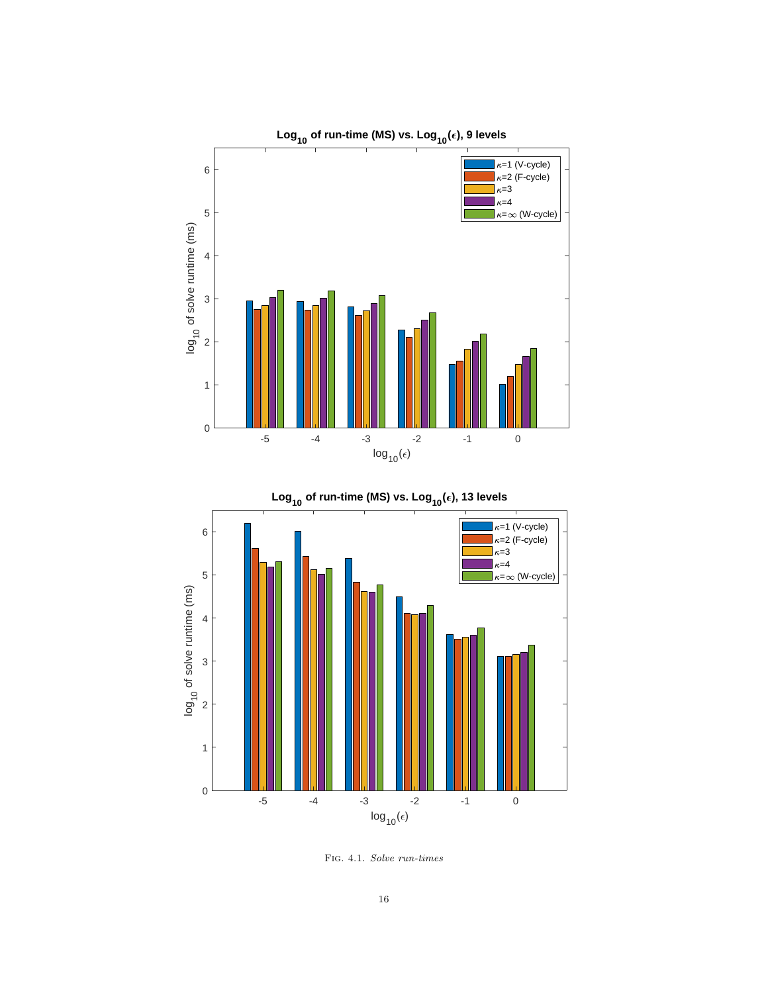<span id="page-15-0"></span>



Fig. 4.1. Solve run-times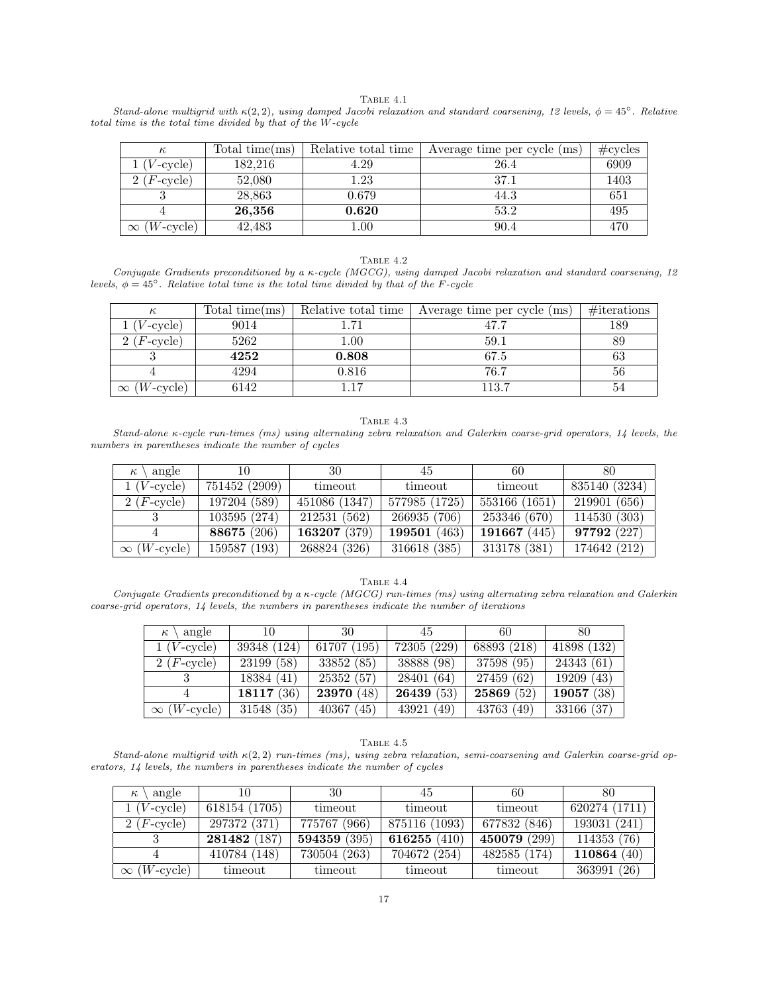TABLE  $4.1$ 

<span id="page-16-0"></span>Stand-alone multigrid with  $\kappa(2,2)$ , using damped Jacobi relaxation and standard coarsening, 12 levels,  $\phi = 45°$ . Relative total time is the total time divided by that of the W-cycle

| $\kappa$                    | Total time $(ms)$ | Relative total time | Average time per cycle (ms) | $\#\text{cycles}$ |
|-----------------------------|-------------------|---------------------|-----------------------------|-------------------|
| $(V$ -cycle $)$             | 182,216           | 4.29                | 26.4                        | 6909              |
| $2$ ( <i>F</i> -cycle)      | 52,080            | 1.23                | 37.1                        | 1403              |
|                             | 28,863            | 0.679               | 44.3                        | 651               |
|                             | 26,356            | 0.620               | 53.2                        | 495               |
| $\infty$ ( <i>W</i> -cycle) | 42,483            | $1.00\,$            | 90.4                        | 470               |

#### TABLE  $4.2$

<span id="page-16-1"></span>Conjugate Gradients preconditioned by a κ-cycle (MGCG), using damped Jacobi relaxation and standard coarsening, 12 levels,  $\phi = 45^{\circ}$ . Relative total time is the total time divided by that of the F-cycle

| $_\kappa$              | Total time(ms) | Relative total time | Average time per cycle (ms) | $\#$ iterations |
|------------------------|----------------|---------------------|-----------------------------|-----------------|
| $(V$ -cycle)           | 9014           | 171                 | 47.7                        | 189             |
| $2$ ( <i>F</i> -cycle) | 5262           | $1.00\,$            | 59.1                        | 89              |
|                        | 4252           | 0.808               | 67.5                        | 63              |
|                        | 4294           | 0.816               | 76.7                        | 56              |
| $(W$ -cycle)           | 6142           | 117                 | 113.7                       | 54              |

## TABLE  $4.3$

<span id="page-16-2"></span>Stand-alone κ-cycle run-times (ms) using alternating zebra relaxation and Galerkin coarse-grid operators, 14 levels, the numbers in parentheses indicate the number of cycles

| angle<br>$\kappa$           | 10            | 30            | 45              | 60            | 80              |
|-----------------------------|---------------|---------------|-----------------|---------------|-----------------|
| $1 (V$ -cycle)              | 751452 (2909) | timeout       | timeout         | timeout       | 835140 (3234)   |
| $2(F$ -cycle)               | 197204 (589)  | 451086 (1347) | 577985 (1725)   | 553166 (1651) | (656)<br>219901 |
|                             | 103595 (274)  | 212531 (562)  | 266935 (706)    | 253346 (670)  | 114530 (303)    |
|                             | 88675 (206)   | 163207 (379)  | (463)<br>199501 | 191667(445)   | 97792 (227)     |
| $\infty$ ( <i>W</i> -cycle) | 159587 (193)  | 268824 (326)  | 316618 (385)    | 313178 (381)  | 174642 (212)    |

### TABLE  $4.4$

<span id="page-16-3"></span>Conjugate Gradients preconditioned by a κ-cycle (MGCG) run-times (ms) using alternating zebra relaxation and Galerkin coarse-grid operators, 14 levels, the numbers in parentheses indicate the number of iterations

| $\kappa \setminus \text{angle}$ | 10          | 30          | 45          | 60          | 80          |
|---------------------------------|-------------|-------------|-------------|-------------|-------------|
| $1 (V-cycle)$                   | 39348 (124) | 61707 (195) | 72305 (229) | 68893 (218) | 41898 (132) |
| $2(F$ -cycle)                   | 23199 (58)  | 33852 (85)  | 38888 (98)  | 37598 (95)  | 24343(61)   |
|                                 | 18384(41)   | 25352(57)   | 28401(64)   | 27459 (62)  | 19209(43)   |
|                                 | 18117(36)   | 23970 (48)  | 26439 (53)  | 25869 (52)  | 19057(38)   |
| $\infty$ ( <i>W</i> -cycle)     | 31548 (35)  | 40367(45)   | 43921(49)   | 43763 (49)  | 33166 (37)  |

## TABLE  $4.5\,$

<span id="page-16-4"></span>Stand-alone multigrid with  $\kappa(2,2)$  run-times (ms), using zebra relaxation, semi-coarsening and Galerkin coarse-grid operators, 14 levels, the numbers in parentheses indicate the number of cycles

| angle<br>$\kappa$           | 10            | 30           | 45             | 60           | 80             |
|-----------------------------|---------------|--------------|----------------|--------------|----------------|
| $1 (V$ -cycle)              | 618154 (1705) | timeout      | timeout        | timeout      | 620274 (1711)  |
| $2(F$ -cycle)               | 297372 (371)  | 775767 (966) | 875116 (1093)  | 677832 (846) | 193031 (241)   |
|                             | 281482 (187)  | 594359 (395) | 616255 $(410)$ | 450079 (299) | 114353 (76)    |
|                             | 410784 (148)  | 730504 (263) | 704672 (254)   | 482585 (174) | 110864 $(40)$  |
| $\infty$ ( <i>W</i> -cycle) | timeout       | timeout      | timeout        | timeout      | (26)<br>363991 |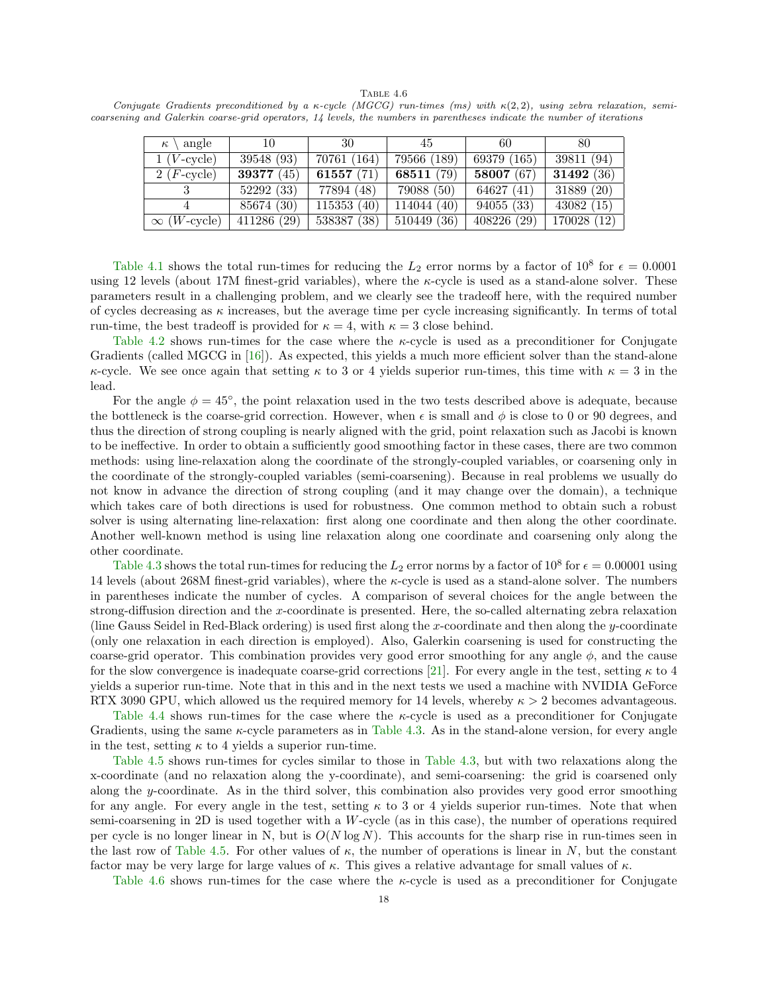#### TABLE 4.6

<span id="page-17-0"></span>Conjugate Gradients preconditioned by a  $\kappa$ -cycle (MGCG) run-times (ms) with  $\kappa(2, 2)$ , using zebra relaxation, semicoarsening and Galerkin coarse-grid operators, 14 levels, the numbers in parentheses indicate the number of iterations

| $\kappa \setminus \text{angle}$ | 10          | 30           | 45          | 60             | 80                |
|---------------------------------|-------------|--------------|-------------|----------------|-------------------|
| $1 (V$ -cycle)                  | 39548 (93)  | 70761 (164)  | 79566 (189) | 69379 (165)    | 39811 (94)        |
| $2(F$ -cycle)                   | 39377 (45)  | 61557 $(71)$ | 68511 (79)  | 58007(67)      | <b>31492</b> (36) |
|                                 | 52292 (33)  | 77894 (48)   | 79088 (50)  | 64627(41)      | 31889 (20)        |
| 4                               | 85674 (30)  | 115353(40)   | 114044 (40) | 94055(33)      | 43082(15)         |
| $\infty$ ( <i>W</i> -cycle)     | 411286 (29) | 538387 (38)  | 510449(36)  | 408226<br>(29) | 170028 (12)       |

[Table 4.1](#page-16-0) shows the total run-times for reducing the  $L_2$  error norms by a factor of  $10^8$  for  $\epsilon = 0.0001$ using 12 levels (about 17M finest-grid variables), where the  $\kappa$ -cycle is used as a stand-alone solver. These parameters result in a challenging problem, and we clearly see the tradeoff here, with the required number of cycles decreasing as  $\kappa$  increases, but the average time per cycle increasing significantly. In terms of total run-time, the best tradeoff is provided for  $\kappa = 4$ , with  $\kappa = 3$  close behind.

[Table 4.2](#page-16-1) shows run-times for the case where the  $\kappa$ -cycle is used as a preconditioner for Conjugate Gradients (called MGCG in [\[16\]](#page-19-18)). As expected, this yields a much more efficient solver than the stand-alone κ-cycle. We see once again that setting  $\kappa$  to 3 or 4 yields superior run-times, this time with  $\kappa = 3$  in the lead.

For the angle  $\phi = 45^{\circ}$ , the point relaxation used in the two tests described above is adequate, because the bottleneck is the coarse-grid correction. However, when  $\epsilon$  is small and  $\phi$  is close to 0 or 90 degrees, and thus the direction of strong coupling is nearly aligned with the grid, point relaxation such as Jacobi is known to be ineffective. In order to obtain a sufficiently good smoothing factor in these cases, there are two common methods: using line-relaxation along the coordinate of the strongly-coupled variables, or coarsening only in the coordinate of the strongly-coupled variables (semi-coarsening). Because in real problems we usually do not know in advance the direction of strong coupling (and it may change over the domain), a technique which takes care of both directions is used for robustness. One common method to obtain such a robust solver is using alternating line-relaxation: first along one coordinate and then along the other coordinate. Another well-known method is using line relaxation along one coordinate and coarsening only along the other coordinate.

[Table 4.3](#page-16-2) shows the total run-times for reducing the  $L_2$  error norms by a factor of 10<sup>8</sup> for  $\epsilon = 0.00001$  using 14 levels (about 268M finest-grid variables), where the κ-cycle is used as a stand-alone solver. The numbers in parentheses indicate the number of cycles. A comparison of several choices for the angle between the strong-diffusion direction and the x-coordinate is presented. Here, the so-called alternating zebra relaxation (line Gauss Seidel in Red-Black ordering) is used first along the x-coordinate and then along the y-coordinate (only one relaxation in each direction is employed). Also, Galerkin coarsening is used for constructing the coarse-grid operator. This combination provides very good error smoothing for any angle  $\phi$ , and the cause for the slow convergence is inadequate coarse-grid corrections [\[21\]](#page-19-13). For every angle in the test, setting  $\kappa$  to 4 yields a superior run-time. Note that in this and in the next tests we used a machine with NVIDIA GeForce RTX 3090 GPU, which allowed us the required memory for 14 levels, whereby  $\kappa > 2$  becomes advantageous.

[Table 4.4](#page-16-3) shows run-times for the case where the  $\kappa$ -cycle is used as a preconditioner for Conjugate Gradients, using the same  $\kappa$ -cycle parameters as in [Table 4.3.](#page-16-2) As in the stand-alone version, for every angle in the test, setting  $\kappa$  to 4 yields a superior run-time.

[Table 4.5](#page-16-4) shows run-times for cycles similar to those in [Table 4.3,](#page-16-2) but with two relaxations along the x-coordinate (and no relaxation along the y-coordinate), and semi-coarsening: the grid is coarsened only along the y-coordinate. As in the third solver, this combination also provides very good error smoothing for any angle. For every angle in the test, setting  $\kappa$  to 3 or 4 yields superior run-times. Note that when semi-coarsening in 2D is used together with a W-cycle (as in this case), the number of operations required per cycle is no longer linear in N, but is  $O(N \log N)$ . This accounts for the sharp rise in run-times seen in the last row of [Table 4.5.](#page-16-4) For other values of  $\kappa$ , the number of operations is linear in N, but the constant factor may be very large for large values of  $\kappa$ . This gives a relative advantage for small values of  $\kappa$ .

[Table 4.6](#page-17-0) shows run-times for the case where the  $\kappa$ -cycle is used as a preconditioner for Conjugate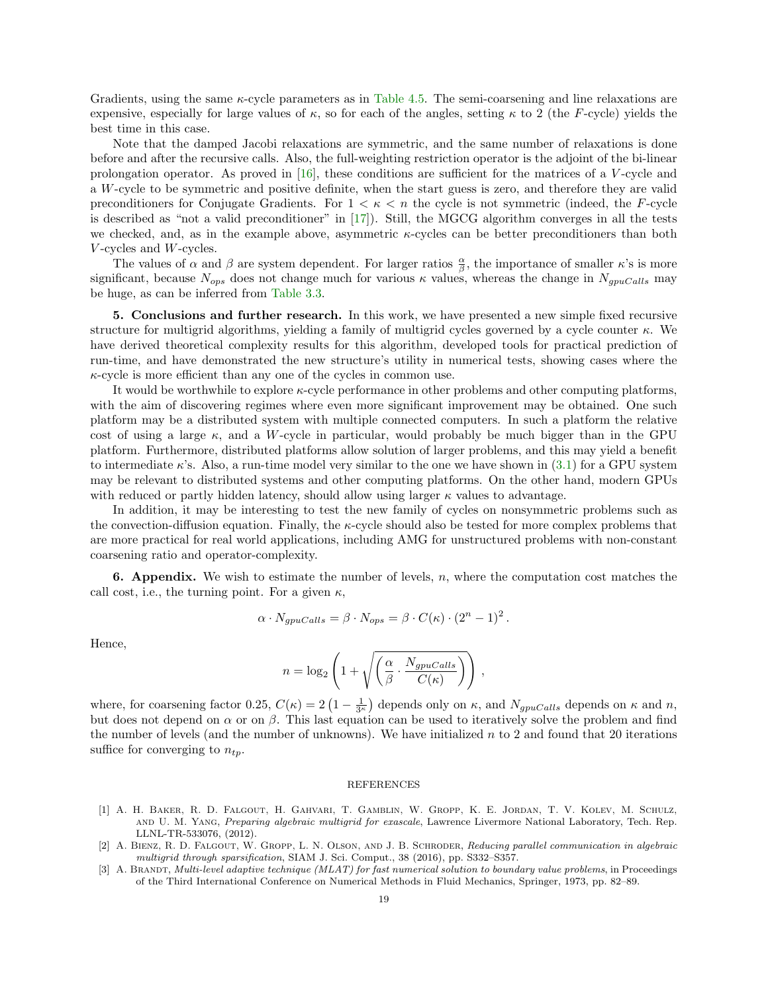Gradients, using the same  $\kappa$ -cycle parameters as in [Table 4.5.](#page-16-4) The semi-coarsening and line relaxations are expensive, especially for large values of  $\kappa$ , so for each of the angles, setting  $\kappa$  to 2 (the F-cycle) yields the best time in this case.

Note that the damped Jacobi relaxations are symmetric, and the same number of relaxations is done before and after the recursive calls. Also, the full-weighting restriction operator is the adjoint of the bi-linear prolongation operator. As proved in [\[16\]](#page-19-18), these conditions are sufficient for the matrices of a V -cycle and a W-cycle to be symmetric and positive definite, when the start guess is zero, and therefore they are valid preconditioners for Conjugate Gradients. For  $1 < \kappa < n$  the cycle is not symmetric (indeed, the F-cycle is described as "not a valid preconditioner" in [\[17\]](#page-19-19)). Still, the MGCG algorithm converges in all the tests we checked, and, as in the example above, asymmetric  $\kappa$ -cycles can be better preconditioners than both  $V$ -cycles and  $W$ -cycles.

The values of  $\alpha$  and  $\beta$  are system dependent. For larger ratios  $\frac{\alpha}{\beta}$ , the importance of smaller  $\kappa$ 's is more significant, because  $N_{ops}$  does not change much for various  $\kappa$  values, whereas the change in  $N_{gpuCalls}$  may be huge, as can be inferred from [Table 3.3.](#page-14-0)

<span id="page-18-3"></span>5. Conclusions and further research. In this work, we have presented a new simple fixed recursive structure for multigrid algorithms, yielding a family of multigrid cycles governed by a cycle counter  $\kappa$ . We have derived theoretical complexity results for this algorithm, developed tools for practical prediction of run-time, and have demonstrated the new structure's utility in numerical tests, showing cases where the  $\kappa$ -cycle is more efficient than any one of the cycles in common use.

It would be worthwhile to explore κ-cycle performance in other problems and other computing platforms, with the aim of discovering regimes where even more significant improvement may be obtained. One such platform may be a distributed system with multiple connected computers. In such a platform the relative cost of using a large  $\kappa$ , and a W-cycle in particular, would probably be much bigger than in the GPU platform. Furthermore, distributed platforms allow solution of larger problems, and this may yield a benefit to intermediate  $\kappa$ 's. Also, a run-time model very similar to the one we have shown in [\(3.1\)](#page-9-1) for a GPU system may be relevant to distributed systems and other computing platforms. On the other hand, modern GPUs with reduced or partly hidden latency, should allow using larger  $\kappa$  values to advantage.

In addition, it may be interesting to test the new family of cycles on nonsymmetric problems such as the convection-diffusion equation. Finally, the  $\kappa$ -cycle should also be tested for more complex problems that are more practical for real world applications, including AMG for unstructured problems with non-constant coarsening ratio and operator-complexity.

**6. Appendix.** We wish to estimate the number of levels,  $n$ , where the computation cost matches the call cost, i.e., the turning point. For a given  $\kappa$ ,

$$
\alpha \cdot N_{gpuCalls} = \beta \cdot N_{ops} = \beta \cdot C(\kappa) \cdot (2^n - 1)^2.
$$

Hence,

$$
n = \log_2 \left( 1 + \sqrt{\left( \frac{\alpha}{\beta} \cdot \frac{N_{gpuCalls}}{C(\kappa)} \right)} \right),
$$

where, for coarsening factor 0.25,  $C(\kappa) = 2(1 - \frac{1}{3^{\kappa}})$  depends only on  $\kappa$ , and  $N_{gravCalls}$  depends on  $\kappa$  and  $n$ , but does not depend on  $\alpha$  or on  $\beta$ . This last equation can be used to iteratively solve the problem and find the number of levels (and the number of unknowns). We have initialized  $n$  to 2 and found that 20 iterations suffice for converging to  $n_{tp}$ .

### REFERENCES

- <span id="page-18-1"></span>[1] A. H. Baker, R. D. Falgout, H. Gahvari, T. Gamblin, W. Gropp, K. E. Jordan, T. V. Kolev, M. Schulz, and U. M. Yang, Preparing algebraic multigrid for exascale, Lawrence Livermore National Laboratory, Tech. Rep. LLNL-TR-533076, (2012).
- <span id="page-18-2"></span>[2] A. Bienz, R. D. Falgout, W. Gropp, L. N. Olson, and J. B. Schroder, Reducing parallel communication in algebraic multigrid through sparsification, SIAM J. Sci. Comput., 38 (2016), pp. S332–S357.
- <span id="page-18-0"></span>[3] A. BRANDT, Multi-level adaptive technique (MLAT) for fast numerical solution to boundary value problems, in Proceedings of the Third International Conference on Numerical Methods in Fluid Mechanics, Springer, 1973, pp. 82–89.